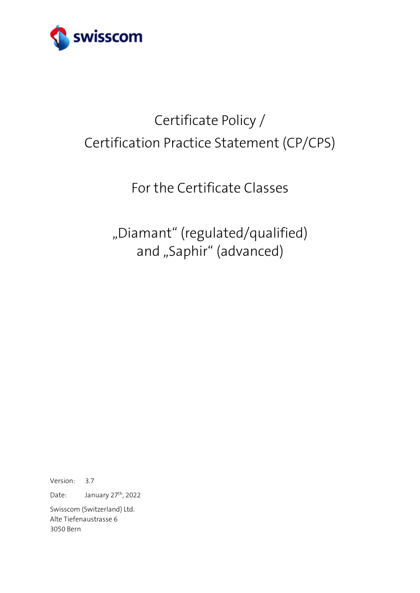

# Certificate Policy / Certification Practice Statement (CP/CPS)

## For the Certificate Classes

"Diamant" (regulated/qualified) and "Saphir" (advanced)

Version: 3.7

Date: January 27<sup>th</sup>, 2022

Swisscom (Switzerland) Ltd. Alte Tiefenaustrasse 6 3050 Bern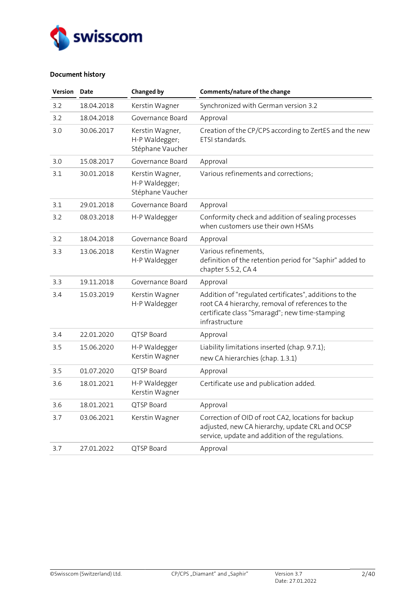

## **Document history**

| Version | Date       | <b>Changed by</b>                                     | Comments/nature of the change                                                                                                                                                   |
|---------|------------|-------------------------------------------------------|---------------------------------------------------------------------------------------------------------------------------------------------------------------------------------|
| 3.2     | 18.04.2018 | Kerstin Wagner                                        | Synchronized with German version 3.2                                                                                                                                            |
| 3.2     | 18.04.2018 | Governance Board                                      | Approval                                                                                                                                                                        |
| 3.0     | 30.06.2017 | Kerstin Wagner,<br>H-P Waldegger;<br>Stéphane Vaucher | Creation of the CP/CPS according to ZertES and the new<br>ETSI standards.                                                                                                       |
| 3.0     | 15.08.2017 | Governance Board                                      | Approval                                                                                                                                                                        |
| 3.1     | 30.01.2018 | Kerstin Wagner,<br>H-P Waldegger;<br>Stéphane Vaucher | Various refinements and corrections;                                                                                                                                            |
| 3.1     | 29.01.2018 | Governance Board                                      | Approval                                                                                                                                                                        |
| 3.2     | 08.03.2018 | H-P Waldegger                                         | Conformity check and addition of sealing processes<br>when customers use their own HSMs                                                                                         |
| 3.2     | 18.04.2018 | Governance Board                                      | Approval                                                                                                                                                                        |
| 3.3     | 13.06.2018 | Kerstin Wagner<br>H-P Waldegger                       | Various refinements,<br>definition of the retention period for "Saphir" added to<br>chapter 5.5.2, CA 4                                                                         |
| 3.3     | 19.11.2018 | Governance Board                                      | Approval                                                                                                                                                                        |
| 3.4     | 15.03.2019 | Kerstin Wagner<br>H-P Waldegger                       | Addition of "regulated certificates", additions to the<br>root CA 4 hierarchy, removal of references to the<br>certificate class "Smaragd"; new time-stamping<br>infrastructure |
| 3.4     | 22.01.2020 | QTSP Board                                            | Approval                                                                                                                                                                        |
| 3.5     | 15.06.2020 | H-P Waldegger                                         | Liability limitations inserted (chap. 9.7.1);                                                                                                                                   |
|         |            | Kerstin Wagner                                        | new CA hierarchies (chap. 1.3.1)                                                                                                                                                |
| 3.5     | 01.07.2020 | OTSP Board                                            | Approval                                                                                                                                                                        |
| 3.6     | 18.01.2021 | H-P Waldegger<br>Kerstin Wagner                       | Certificate use and publication added.                                                                                                                                          |
| 3.6     | 18.01.2021 | QTSP Board                                            | Approval                                                                                                                                                                        |
| 3.7     | 03.06.2021 | Kerstin Wagner                                        | Correction of OID of root CA2, locations for backup<br>adjusted, new CA hierarchy, update CRL and OCSP<br>service, update and addition of the regulations.                      |
| 3.7     | 27.01.2022 | QTSP Board                                            | Approval                                                                                                                                                                        |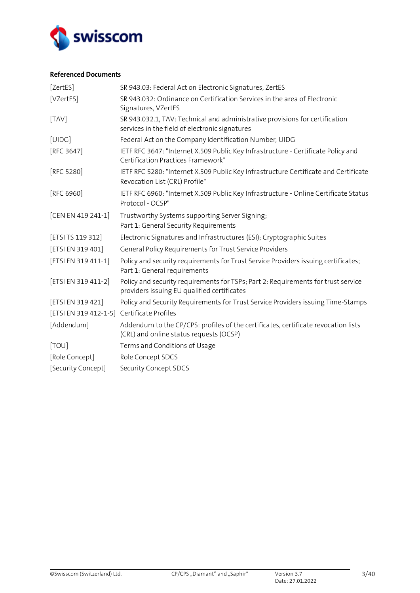

## **Referenced Documents**

<span id="page-2-14"></span><span id="page-2-13"></span><span id="page-2-12"></span><span id="page-2-11"></span><span id="page-2-10"></span><span id="page-2-9"></span><span id="page-2-8"></span><span id="page-2-7"></span><span id="page-2-6"></span><span id="page-2-5"></span><span id="page-2-4"></span><span id="page-2-3"></span><span id="page-2-2"></span><span id="page-2-1"></span><span id="page-2-0"></span>

| [ZertES]                                   | SR 943.03: Federal Act on Electronic Signatures, ZertES                                                                          |
|--------------------------------------------|----------------------------------------------------------------------------------------------------------------------------------|
| [VZertES]                                  | SR 943.032: Ordinance on Certification Services in the area of Electronic<br>Signatures, VZertES                                 |
| [TAV]                                      | SR 943.032.1, TAV: Technical and administrative provisions for certification<br>services in the field of electronic signatures   |
| [UIDG]                                     | Federal Act on the Company Identification Number, UIDG                                                                           |
| [RFC 3647]                                 | IETF RFC 3647: "Internet X.509 Public Key Infrastructure - Certificate Policy and<br><b>Certification Practices Framework"</b>   |
| [RFC 5280]                                 | IETF RFC 5280: "Internet X.509 Public Key Infrastructure Certificate and Certificate<br>Revocation List (CRL) Profile"           |
| [RFC 6960]                                 | IETF RFC 6960: "Internet X.509 Public Key Infrastructure - Online Certificate Status<br>Protocol - OCSP"                         |
| [CEN EN 419 241-1]                         | Trustworthy Systems supporting Server Signing;<br>Part 1: General Security Requirements                                          |
| [ETSI TS 119 312]                          | Electronic Signatures and Infrastructures (ESI); Cryptographic Suites                                                            |
| [ETSI EN 319 401]                          | General Policy Requirements for Trust Service Providers                                                                          |
| [ETSI EN 319 411-1]                        | Policy and security requirements for Trust Service Providers issuing certificates;<br>Part 1: General requirements               |
| [ETSI EN 319 411-2]                        | Policy and security requirements for TSPs; Part 2: Requirements for trust service<br>providers issuing EU qualified certificates |
| [ETSI EN 319 421]                          | Policy and Security Requirements for Trust Service Providers issuing Time-Stamps                                                 |
| [ETSI EN 319 412-1-5] Certificate Profiles |                                                                                                                                  |
| [Addendum]                                 | Addendum to the CP/CPS: profiles of the certificates, certificate revocation lists<br>(CRL) and online status requests (OCSP)    |
| [TOU]                                      | Terms and Conditions of Usage                                                                                                    |
| [Role Concept]                             | Role Concept SDCS                                                                                                                |
| [Security Concept]                         | Security Concept SDCS                                                                                                            |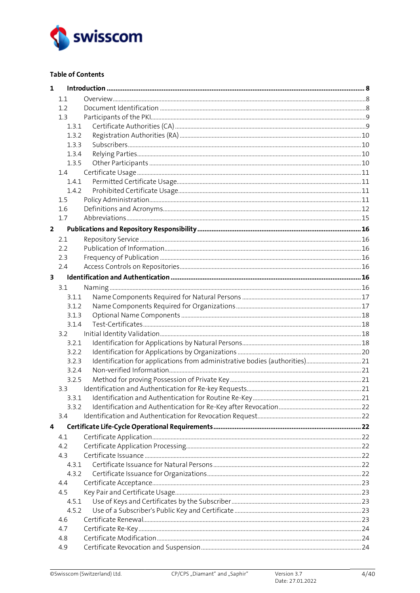

## **Table of Contents**

| $\mathbf{1}$            |       |  |
|-------------------------|-------|--|
|                         | 1.1   |  |
|                         | 1.2   |  |
|                         | 1.3   |  |
|                         | 1.3.1 |  |
|                         | 1.3.2 |  |
|                         | 1.3.3 |  |
|                         | 1.3.4 |  |
|                         | 1.3.5 |  |
|                         | 1.4   |  |
|                         | 1.4.1 |  |
|                         | 1.4.2 |  |
|                         | 1.5   |  |
|                         | 1.6   |  |
|                         | 1.7   |  |
| $\overline{2}$          |       |  |
|                         | 2.1   |  |
|                         | 2.2   |  |
|                         | 2.3   |  |
|                         | 2.4   |  |
| $\overline{\mathbf{3}}$ |       |  |
|                         | 3.1   |  |
|                         | 3.1.1 |  |
|                         | 3.1.2 |  |
|                         | 3.1.3 |  |
|                         | 3.1.4 |  |
|                         | 3.2   |  |
|                         | 3.2.1 |  |
|                         | 3.2.2 |  |
|                         | 3.2.3 |  |
|                         | 3.2.4 |  |
|                         | 3.2.5 |  |
|                         | 3.3   |  |
|                         | 3.3.1 |  |
|                         | 3.3.2 |  |
|                         | 3.4   |  |
| 4                       |       |  |
|                         | 4.1   |  |
|                         | 4.2   |  |
|                         | 4.3   |  |
|                         | 4.3.1 |  |
|                         | 4.3.2 |  |
|                         | 4.4   |  |
|                         | 4.5   |  |
|                         | 4.5.1 |  |
|                         | 4.5.2 |  |
|                         | 4.6   |  |
|                         | 4.7   |  |
|                         | 4.8   |  |
|                         | 4.9   |  |
|                         |       |  |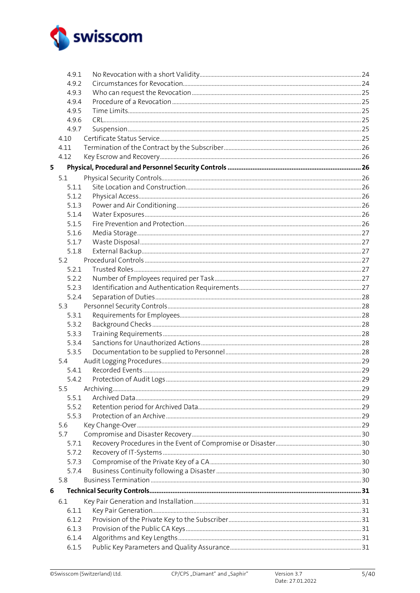

|   | 4.9.1 |  |
|---|-------|--|
|   | 4.9.2 |  |
|   | 4.9.3 |  |
|   | 4.9.4 |  |
|   | 4.9.5 |  |
|   | 4.9.6 |  |
|   | 4.9.7 |  |
|   | 4.10  |  |
|   | 4.11  |  |
|   | 4.12  |  |
| 5 |       |  |
|   | 5.1   |  |
|   | 5.1.1 |  |
|   | 5.1.2 |  |
|   | 5.1.3 |  |
|   | 5.1.4 |  |
|   | 5.1.5 |  |
|   | 5.1.6 |  |
|   | 5.1.7 |  |
|   | 5.1.8 |  |
|   | 5.2   |  |
|   | 5.2.1 |  |
|   | 5.2.2 |  |
|   | 5.2.3 |  |
|   | 5.2.4 |  |
|   | 5.3   |  |
|   | 5.3.1 |  |
|   | 5.3.2 |  |
|   | 5.3.3 |  |
|   | 5.3.4 |  |
|   | 5.3.5 |  |
|   | 5.4   |  |
|   | 5.4.1 |  |
|   | 5.4.2 |  |
|   | 5.5   |  |
|   | 5.5.1 |  |
|   | 5.5.2 |  |
|   | 5.5.3 |  |
|   | 5.6   |  |
|   | 5.7   |  |
|   | 5.7.1 |  |
|   | 5.7.2 |  |
|   | 5.7.3 |  |
|   | 5.7.4 |  |
|   | 5.8   |  |
| 6 |       |  |
|   | 6.1   |  |
|   | 6.1.1 |  |
|   | 6.1.2 |  |
|   | 6.1.3 |  |
|   | 6.1.4 |  |
|   | 6.1.5 |  |
|   |       |  |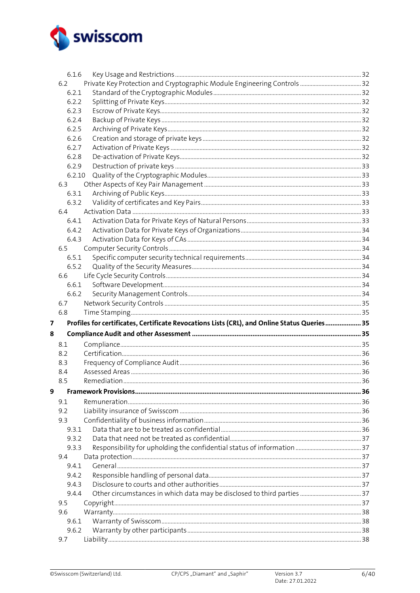

|   | 6.1.6  |                                                                                              |  |
|---|--------|----------------------------------------------------------------------------------------------|--|
|   | 6.2    |                                                                                              |  |
|   | 6.2.1  |                                                                                              |  |
|   | 6.2.2  |                                                                                              |  |
|   | 6.2.3  |                                                                                              |  |
|   | 6.2.4  |                                                                                              |  |
|   | 6.2.5  |                                                                                              |  |
|   | 6.2.6  |                                                                                              |  |
|   |        |                                                                                              |  |
|   | 6.2.7  |                                                                                              |  |
|   | 6.2.8  |                                                                                              |  |
|   | 6.2.9  |                                                                                              |  |
|   | 6.2.10 |                                                                                              |  |
|   | 6.3    |                                                                                              |  |
|   | 6.3.1  |                                                                                              |  |
|   | 6.3.2  |                                                                                              |  |
|   | 6.4    |                                                                                              |  |
|   | 6.4.1  |                                                                                              |  |
|   | 6.4.2  |                                                                                              |  |
|   | 6.4.3  |                                                                                              |  |
|   | 6.5    |                                                                                              |  |
|   | 6.5.1  |                                                                                              |  |
|   | 6.5.2  |                                                                                              |  |
|   | 6.6    |                                                                                              |  |
|   | 6.6.1  |                                                                                              |  |
|   | 6.6.2  |                                                                                              |  |
|   | 6.7    |                                                                                              |  |
|   |        |                                                                                              |  |
|   | 6.8    |                                                                                              |  |
| 7 |        | Profiles for certificates, Certificate Revocations Lists (CRL), and Online Status Queries 35 |  |
|   |        |                                                                                              |  |
|   |        |                                                                                              |  |
| 8 | 8.1    |                                                                                              |  |
|   | 8.2    |                                                                                              |  |
|   | 8.3    |                                                                                              |  |
|   | 8.4    |                                                                                              |  |
|   | 8.5    |                                                                                              |  |
| 9 |        |                                                                                              |  |
|   | 9.1    |                                                                                              |  |
|   | 9.2    |                                                                                              |  |
|   | 9.3    |                                                                                              |  |
|   | 9.3.1  |                                                                                              |  |
|   | 9.3.2  |                                                                                              |  |
|   | 9.3.3  |                                                                                              |  |
|   | 9.4    |                                                                                              |  |
|   | 9.4.1  |                                                                                              |  |
|   | 9.4.2  |                                                                                              |  |
|   | 9.4.3  |                                                                                              |  |
|   | 9.4.4  |                                                                                              |  |
|   | 9.5    |                                                                                              |  |
|   | 9.6    |                                                                                              |  |
|   | 9.6.1  |                                                                                              |  |
|   | 9.6.2  |                                                                                              |  |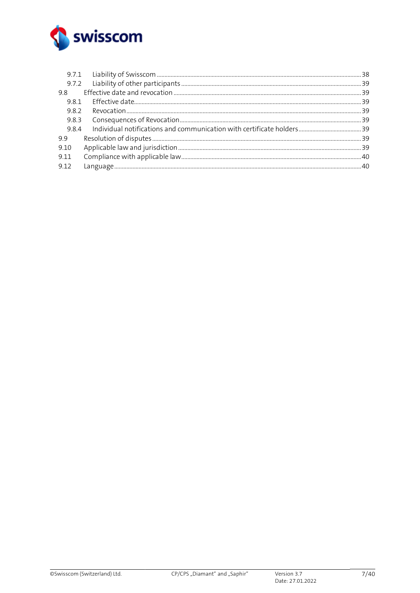

| 98    |  |
|-------|--|
| 981   |  |
| 982   |  |
| 9.8.3 |  |
| 984   |  |
| 9.9   |  |
| 9.10  |  |
| 9.11  |  |
| 9.12  |  |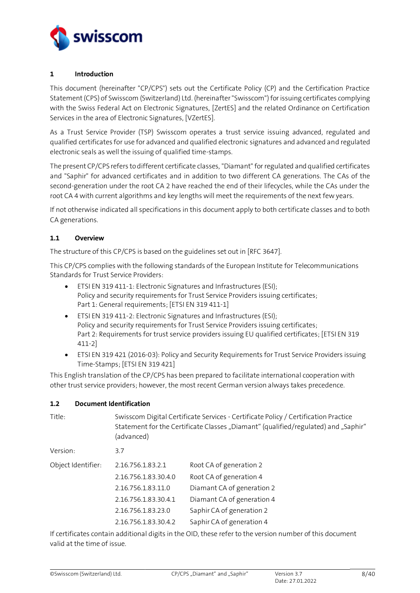

## <span id="page-7-0"></span>**1 Introduction**

This document (hereinafter "CP/CPS") sets out the Certificate Policy (CP) and the Certification Practice Statement (CPS) of Swisscom (Switzerland) Ltd. (hereinafter "Swisscom") for issuing certificates complying with the Swiss Federal Act on Electronic Signatures, [\[ZertES\]](#page-2-0) and the related Ordinance on Certification Services in the area of Electronic Signatures[, \[VZertES\].](#page-2-1)

As a Trust Service Provider (TSP) Swisscom operates a trust service issuing advanced, regulated and qualified certificates for use for advanced and qualified electronic signatures and advanced and regulated electronic seals as well the issuing of qualified time-stamps.

The present CP/CPS refers to different certificate classes, "Diamant" for regulated and qualified certificates and "Saphir" for advanced certificates and in addition to two different CA generations. The CAs of the second-generation under the root CA 2 have reached the end of their lifecycles, while the CAs under the root CA 4 with current algorithms and key lengths will meet the requirements of the next few years.

If not otherwise indicated all specifications in this document apply to both certificate classes and to both CA generations.

## <span id="page-7-1"></span>**1.1 Overview**

The structure of this CP/CPS is based on the guidelines set out in [\[RFC 3647\].](#page-2-2)

This CP/CPS complies with the following standards of the European Institute for Telecommunications Standards for Trust Service Providers:

- ETSI EN 319 411-1: Electronic Signatures and Infrastructures (ESI); Policy and security requirements for Trust Service Providers issuing certificates; Part 1: General requirements; [\[ETSI EN 319 411-1\]](#page-2-3)
- ETSI EN 319 411-2: Electronic Signatures and Infrastructures (ESI); Policy and security requirements for Trust Service Providers issuing certificates; Part 2: Requirements for trust service providers issuing EU qualified certificates; [\[ETSI EN 319](#page-2-4)  [411-2\]](#page-2-4)
- ETSI EN 319 421 (2016-03): Policy and Security Requirements for Trust Service Providers issuing Time-Stamps; [\[ETSI EN 319 421\]](#page-2-5)

This English translation of the CP/CPS has been prepared to facilitate international cooperation with other trust service providers; however, the most recent German version always takes precedence.

#### <span id="page-7-2"></span>**1.2 Document Identification**

| Title:             | Swisscom Digital Certificate Services - Certificate Policy / Certification Practice<br>Statement for the Certificate Classes "Diamant" (qualified/regulated) and "Saphir"<br>(advanced) |                            |  |
|--------------------|-----------------------------------------------------------------------------------------------------------------------------------------------------------------------------------------|----------------------------|--|
| Version:           | 3.7                                                                                                                                                                                     |                            |  |
| Object Identifier: | 2.16.756.1.83.2.1                                                                                                                                                                       | Root CA of generation 2    |  |
|                    | 2.16.756.1.83.30.4.0                                                                                                                                                                    | Root CA of generation 4    |  |
|                    | 2.16.756.1.83.11.0                                                                                                                                                                      | Diamant CA of generation 2 |  |
|                    | 2.16.756.1.83.30.4.1                                                                                                                                                                    | Diamant CA of generation 4 |  |
|                    | 2.16.756.1.83.23.0                                                                                                                                                                      | Saphir CA of generation 2  |  |
|                    | 2.16.756.1.83.30.4.2                                                                                                                                                                    | Saphir CA of generation 4  |  |

If certificates contain additional digits in the OID, these refer to the version number of this document valid at the time of issue.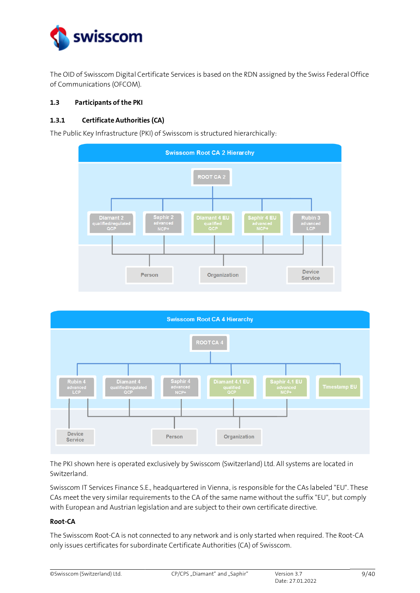

The OID of Swisscom Digital Certificate Services is based on the RDN assigned by the Swiss Federal Office of Communications (OFCOM).

## <span id="page-8-0"></span>**1.3 Participants of the PKI**

## <span id="page-8-1"></span>**1.3.1 Certificate Authorities (CA)**

The Public Key Infrastructure (PKI) of Swisscom is structured hierarchically:





The PKI shown here is operated exclusively by Swisscom (Switzerland) Ltd. All systems are located in Switzerland.

Swisscom IT Services Finance S.E., headquartered in Vienna, is responsible for the CAs labeled "EU". These CAs meet the very similar requirements to the CA of the same name without the suffix "EU", but comply with European and Austrian legislation and are subject to their own certificate directive.

#### **Root-CA**

The Swisscom Root-CA is not connected to any network and is only started when required. The Root-CA only issues certificates for subordinate Certificate Authorities (CA) of Swisscom.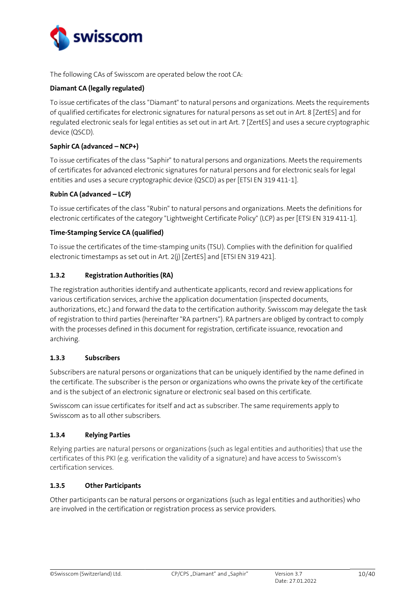

The following CAs of Swisscom are operated below the root CA:

## **Diamant CA (legally regulated)**

To issue certificates of the class "Diamant" to natural persons and organizations. Meets the requirements of qualified certificates for electronic signatures for natural persons as set out in Art. 8 [\[ZertES\]](#page-2-0) and for regulated electronic seals for legal entities as set out in art Art. 7 [\[ZertES\]](#page-2-0) and uses a secure cryptographic device (QSCD).

## **Saphir CA (advanced – NCP+)**

To issue certificates of the class "Saphir" to natural persons and organizations. Meets the requirements of certificates for advanced electronic signatures for natural persons and for electronic seals for legal entities and uses a secure cryptographic device (QSCD) as per [\[ETSI EN 319 411-1\].](#page-2-3)

## **Rubin CA (advanced – LCP)**

To issue certificates of the class "Rubin" to natural persons and organizations. Meets the definitions for electronic certificates of the category "Lightweight Certificate Policy" (LCP) as per [\[ETSI EN 319 411-1\].](#page-2-3)

## **Time-Stamping Service CA (qualified)**

To issue the certificates of the time-stamping units (TSU). Complies with the definition for qualified electronic timestamps as set out in Art. 2(j) [\[ZertES\]](#page-2-0) and [\[ETSI EN 319 421\].](#page-2-5)

## <span id="page-9-0"></span>**1.3.2 Registration Authorities (RA)**

The registration authorities identify and authenticate applicants, record and review applications for various certification services, archive the application documentation (inspected documents, authorizations, etc.) and forward the data to the certification authority. Swisscom may delegate the task of registration to third parties (hereinafter "RA partners"). RA partners are obliged by contract to comply with the processes defined in this document for registration, certificate issuance, revocation and archiving.

## <span id="page-9-1"></span>**1.3.3 Subscribers**

Subscribers are natural persons or organizations that can be uniquely identified by the name defined in the certificate. The subscriber is the person or organizations who owns the private key of the certificate and is the subject of an electronic signature or electronic seal based on this certificate.

Swisscom can issue certificates for itself and act as subscriber. The same requirements apply to Swisscom as to all other subscribers.

## <span id="page-9-2"></span>**1.3.4 Relying Parties**

Relying parties are natural persons or organizations (such as legal entities and authorities) that use the certificates of this PKI (e.g. verification the validity of a signature) and have access to Swisscom's certification services.

## <span id="page-9-3"></span>**1.3.5 Other Participants**

Other participants can be natural persons or organizations (such as legal entities and authorities) who are involved in the certification or registration process as service providers.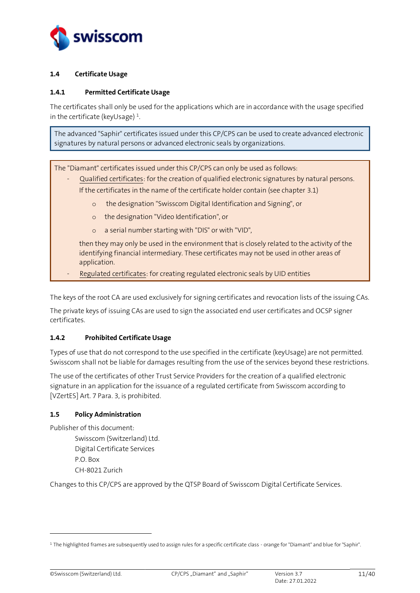

## <span id="page-10-0"></span>**1.4 Certificate Usage**

## <span id="page-10-1"></span>**1.4.1 Permitted Certificate Usage**

The certificates shall only be used for the applications which are in accordance with the usage specified in the certificate (keyUsage)  $^{\rm 1}.$ 

The advanced "Saphir" certificates issued under this CP/CPS can be used to create advanced electronic signatures by natural persons or advanced electronic seals by organizations.

The "Diamant" certificates issued under this CP/CPS can only be used as follows:

- Qualified certificates: for the creation of qualified electronic signatures by natural persons. If the certificates in the name of the certificate holder contain (see chapter [3.1\)](#page-15-6)
	- o the designation "Swisscom Digital Identification and Signing", or
	- o the designation "Video Identification", or
	- o a serial number starting with "DIS" or with "VID",

then they may only be used in the environment that is closely related to the activity of the identifying financial intermediary. These certificates may not be used in other areas of application.

Regulated certificates: for creating regulated electronic seals by UID entities

The keys of the root CA are used exclusively for signing certificates and revocation lists of the issuing CAs.

The private keys of issuing CAs are used to sign the associated end user certificates and OCSP signer certificates.

## <span id="page-10-2"></span>**1.4.2 Prohibited Certificate Usage**

Types of use that do not correspond to the use specified in the certificate (keyUsage) are not permitted. Swisscom shall not be liable for damages resulting from the use of the services beyond these restrictions.

The use of the certificates of other Trust Service Providers for the creation of a qualified electronic signature in an application for the issuance of a regulated certificate from Swisscom according to [\[VZertES\]](#page-2-1) Art. 7 Para. 3, is prohibited.

#### <span id="page-10-3"></span>**1.5 Policy Administration**

Publisher of this document:

Swisscom (Switzerland) Ltd. Digital Certificate Services P.O. Box CH-8021 Zurich

Changes to this CP/CPS are approved by the QTSP Board of Swisscom Digital Certificate Services.

<sup>&</sup>lt;sup>1</sup> The highlighted frames are subsequently used to assign rules for a specific certificate class - orange for "Diamant" and blue for "Saphir".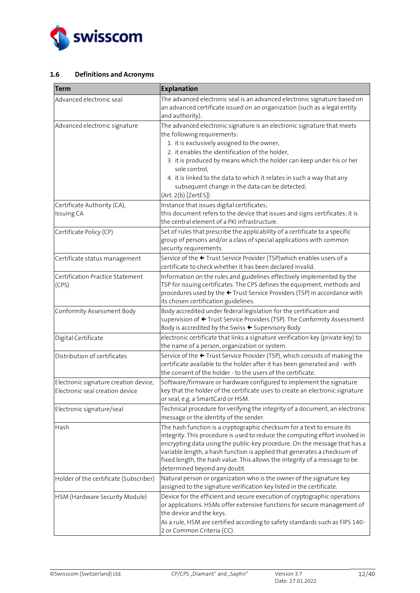

## <span id="page-11-0"></span>**1.6 Definitions and Acronyms**

| <b>Term</b>                                                              | <b>Explanation</b>                                                                                                                                                                                                                                                                                                                                                                                                                                     |
|--------------------------------------------------------------------------|--------------------------------------------------------------------------------------------------------------------------------------------------------------------------------------------------------------------------------------------------------------------------------------------------------------------------------------------------------------------------------------------------------------------------------------------------------|
| Advanced electronic seal                                                 | The advanced electronic seal is an advanced electronic signature based on<br>an advanced certificate issued on an organization (such as a legal entity<br>and authority).                                                                                                                                                                                                                                                                              |
| Advanced electronic signature                                            | The advanced electronic signature is an electronic signature that meets<br>the following requirements:<br>1. it is exclusively assigned to the owner,<br>2. it enables the identification of the holder,<br>3. it is produced by means which the holder can keep under his or her<br>sole control,<br>4. it is linked to the data to which it relates in such a way that any<br>subsequent change in the data can be detected;<br>(Art. 2(b) [ZertES]) |
| Certificate Authority (CA),<br>Issuing CA                                | Instance that issues digital certificates;<br>this document refers to the device that issues and signs certificates; it is<br>the central element of a PKI infrastructure.                                                                                                                                                                                                                                                                             |
| Certificate Policy (CP)                                                  | Set of rules that prescribe the applicability of a certificate to a specific<br>group of persons and/or a class of special applications with common<br>security requirements.                                                                                                                                                                                                                                                                          |
| Certificate status management                                            | Service of the ← Trust Service Provider (TSP) which enables users of a<br>certificate to check whether it has been declared invalid.                                                                                                                                                                                                                                                                                                                   |
| Certification Practice Statement<br>(CPS)                                | Information on the rules and guidelines effectively implemented by the<br>TSP for issuing certificates. The CPS defines the equipment, methods and<br>procedures used by the ← Trust Service Providers (TSP) in accordance with<br>its chosen certification guidelines.                                                                                                                                                                                |
| Conformity Assessment Body                                               | Body accredited under federal legislation for the certification and<br>supervision of ← Trust Service Providers (TSP). The Conformity Assessment<br>Body is accredited by the Swiss ← Supervisory Body                                                                                                                                                                                                                                                 |
| Digital Certificate                                                      | electronic certificate that links a signature verification key (private key) to<br>the name of a person, organization or system.                                                                                                                                                                                                                                                                                                                       |
| Distribution of certificates                                             | Service of the ← Trust Service Provider (TSP), which consists of making the<br>certificate available to the holder after it has been generated and - with<br>the consent of the holder - to the users of the certificate.                                                                                                                                                                                                                              |
| Electronic signature creation device,<br>Electronic seal creation device | Software/firmware or hardware configured to implement the signature<br>key that the holder of the certificate uses to create an electronic signature<br>or seal, e.g. a SmartCard or HSM.                                                                                                                                                                                                                                                              |
| Electronic signature/seal                                                | Technical procedure for verifying the integrity of a document, an electronic<br>message or the identity of the sender.                                                                                                                                                                                                                                                                                                                                 |
| Hash                                                                     | The hash function is a cryptographic checksum for a text to ensure its<br>integrity. This procedure is used to reduce the computing effort involved in<br>encrypting data using the public-key procedure. On the message that has a<br>variable length, a hash function is applied that generates a checksum of<br>fixed length, the hash value. This allows the integrity of a message to be<br>determined beyond any doubt.                          |
| Holder of the certificate (Subscriber)                                   | Natural person or organization who is the owner of the signature key<br>assigned to the signature verification key listed in the certificate.                                                                                                                                                                                                                                                                                                          |
| HSM (Hardware Security Module)                                           | Device for the efficient and secure execution of cryptographic operations<br>or applications. HSMs offer extensive functions for secure management of<br>the device and the keys.<br>As a rule, HSM are certified according to safety standards such as FIPS 140-<br>2 or Common Criteria (CC).                                                                                                                                                        |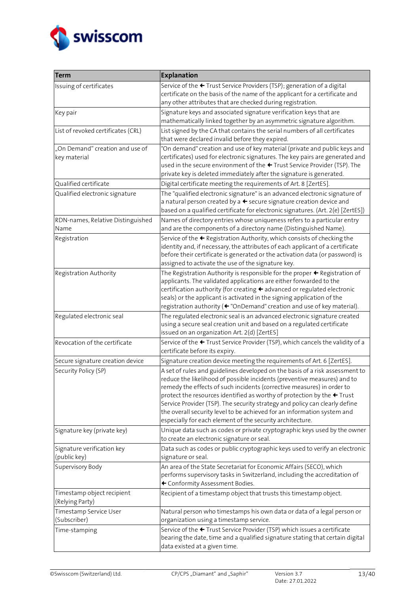

| <b>Term</b>                                     | <b>Explanation</b>                                                                                                                                                                                                                                                                                                                                                                                                                                                                                                                              |
|-------------------------------------------------|-------------------------------------------------------------------------------------------------------------------------------------------------------------------------------------------------------------------------------------------------------------------------------------------------------------------------------------------------------------------------------------------------------------------------------------------------------------------------------------------------------------------------------------------------|
| Issuing of certificates                         | Service of the ← Trust Service Providers (TSP); generation of a digital<br>certificate on the basis of the name of the applicant for a certificate and<br>any other attributes that are checked during registration.                                                                                                                                                                                                                                                                                                                            |
| Key pair                                        | Signature keys and associated signature verification keys that are<br>mathematically linked together by an asymmetric signature algorithm.                                                                                                                                                                                                                                                                                                                                                                                                      |
| List of revoked certificates (CRL)              | List signed by the CA that contains the serial numbers of all certificates<br>that were declared invalid before they expired.                                                                                                                                                                                                                                                                                                                                                                                                                   |
| "On Demand" creation and use of<br>key material | "On demand" creation and use of key material (private and public keys and<br>certificates) used for electronic signatures. The key pairs are generated and<br>used in the secure environment of the ← Trust Service Provider (TSP). The<br>private key is deleted immediately after the signature is generated.                                                                                                                                                                                                                                 |
| Qualified certificate                           | Digital certificate meeting the requirements of Art. 8 [ZertES].                                                                                                                                                                                                                                                                                                                                                                                                                                                                                |
| Qualified electronic signature                  | The "qualified electronic signature" is an advanced electronic signature of<br>a natural person created by $a \leftarrow$ secure signature creation device and<br>based on a qualified certificate for electronic signatures. (Art. 2(e) [ZertES])                                                                                                                                                                                                                                                                                              |
| RDN-names, Relative Distinguished<br>Name       | Names of directory entries whose uniqueness refers to a particular entry<br>and are the components of a directory name (Distinguished Name).                                                                                                                                                                                                                                                                                                                                                                                                    |
| Registration                                    | Service of the ← Registration Authority, which consists of checking the<br>identity and, if necessary, the attributes of each applicant of a certificate<br>before their certificate is generated or the activation data (or password) is<br>assigned to activate the use of the signature key.                                                                                                                                                                                                                                                 |
| Registration Authority                          | The Registration Authority is responsible for the proper $\triangle$ Registration of<br>applicants. The validated applications are either forwarded to the<br>certification authority (for creating + advanced or regulated electronic<br>seals) or the applicant is activated in the signing application of the<br>registration authority (+"OnDemand" creation and use of key material).                                                                                                                                                      |
| Regulated electronic seal                       | The regulated electronic seal is an advanced electronic signature created<br>using a secure seal creation unit and based on a regulated certificate<br>issued on an organization Art. 2(d) [ZertES]                                                                                                                                                                                                                                                                                                                                             |
| Revocation of the certificate                   | Service of the ← Trust Service Provider (TSP), which cancels the validity of a<br>certificate before its expiry.                                                                                                                                                                                                                                                                                                                                                                                                                                |
| Secure signature creation device                | Signature creation device meeting the requirements of Art. 6 [ZertES].                                                                                                                                                                                                                                                                                                                                                                                                                                                                          |
| Security Policy (SP)                            | A set of rules and guidelines developed on the basis of a risk assessment to<br>reduce the likelihood of possible incidents (preventive measures) and to<br>remedy the effects of such incidents (corrective measures) in order to<br>protect the resources identified as worthy of protection by the $\leftarrow$ Trust<br>Service Provider (TSP). The security strategy and policy can clearly define<br>the overall security level to be achieved for an information system and<br>especially for each element of the security architecture. |
| Signature key (private key)                     | Unique data such as codes or private cryptographic keys used by the owner<br>to create an electronic signature or seal.                                                                                                                                                                                                                                                                                                                                                                                                                         |
| Signature verification key<br>(public key)      | Data such as codes or public cryptographic keys used to verify an electronic<br>signature or seal.                                                                                                                                                                                                                                                                                                                                                                                                                                              |
| Supervisory Body                                | An area of the State Secretariat for Economic Affairs (SECO), which<br>performs supervisory tasks in Switzerland, including the accreditation of<br>+ Conformity Assessment Bodies.                                                                                                                                                                                                                                                                                                                                                             |
| Timestamp object recipient<br>(Relying Party)   | Recipient of a timestamp object that trusts this timestamp object.                                                                                                                                                                                                                                                                                                                                                                                                                                                                              |
| Timestamp Service User<br>(Subscriber)          | Natural person who timestamps his own data or data of a legal person or<br>organization using a timestamp service.                                                                                                                                                                                                                                                                                                                                                                                                                              |
| Time-stamping                                   | Service of the ← Trust Service Provider (TSP) which issues a certificate<br>bearing the date, time and a qualified signature stating that certain digital<br>data existed at a given time.                                                                                                                                                                                                                                                                                                                                                      |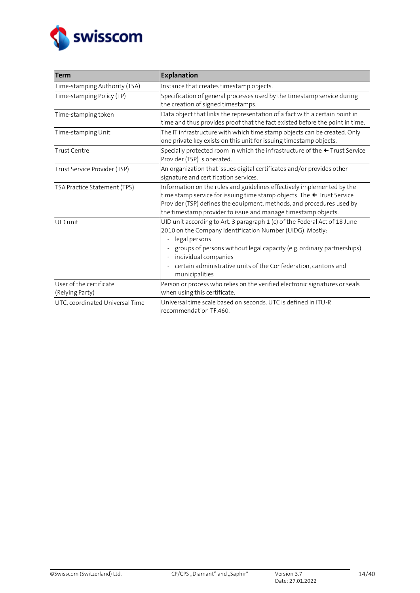

| <b>Term</b>                                | <b>Explanation</b>                                                                                                                                                                                                                                                                                                                            |  |  |
|--------------------------------------------|-----------------------------------------------------------------------------------------------------------------------------------------------------------------------------------------------------------------------------------------------------------------------------------------------------------------------------------------------|--|--|
| Time-stamping Authority (TSA)              | Instance that creates timestamp objects.                                                                                                                                                                                                                                                                                                      |  |  |
| Time-stamping Policy (TP)                  | Specification of general processes used by the timestamp service during<br>the creation of signed timestamps.                                                                                                                                                                                                                                 |  |  |
| Time-stamping token                        | Data object that links the representation of a fact with a certain point in<br>time and thus provides proof that the fact existed before the point in time.                                                                                                                                                                                   |  |  |
| Time-stamping Unit                         | The IT infrastructure with which time stamp objects can be created. Only<br>one private key exists on this unit for issuing timestamp objects.                                                                                                                                                                                                |  |  |
| Trust Centre                               | Specially protected room in which the infrastructure of the ← Trust Service<br>Provider (TSP) is operated.                                                                                                                                                                                                                                    |  |  |
| Trust Service Provider (TSP)               | An organization that issues digital certificates and/or provides other<br>signature and certification services.                                                                                                                                                                                                                               |  |  |
| TSA Practice Statement (TPS)               | Information on the rules and guidelines effectively implemented by the<br>time stamp service for issuing time stamp objects. The ← Trust Service<br>Provider (TSP) defines the equipment, methods, and procedures used by<br>the timestamp provider to issue and manage timestamp objects.                                                    |  |  |
| UID unit                                   | UID unit according to Art. 3 paragraph 1 (c) of the Federal Act of 18 June<br>2010 on the Company Identification Number (UIDG). Mostly:<br>legal persons<br>groups of persons without legal capacity (e.g. ordinary partnerships)<br>individual companies<br>certain administrative units of the Confederation, cantons and<br>municipalities |  |  |
| User of the certificate<br>(Relying Party) | Person or process who relies on the verified electronic signatures or seals<br>when using this certificate.                                                                                                                                                                                                                                   |  |  |
| UTC, coordinated Universal Time            | Universal time scale based on seconds. UTC is defined in ITU-R<br>recommendation TF.460.                                                                                                                                                                                                                                                      |  |  |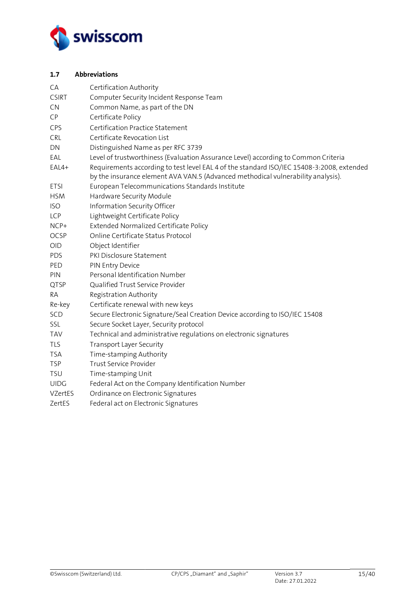

## <span id="page-14-0"></span>**1.7 Abbreviations**

| CA           | Certification Authority                                                                                                                                                       |
|--------------|-------------------------------------------------------------------------------------------------------------------------------------------------------------------------------|
| <b>CSIRT</b> | Computer Security Incident Response Team                                                                                                                                      |
| <b>CN</b>    | Common Name, as part of the DN                                                                                                                                                |
| CP           | Certificate Policy                                                                                                                                                            |
| CPS          | Certification Practice Statement                                                                                                                                              |
| CRL          | Certificate Revocation List                                                                                                                                                   |
| DN           | Distinguished Name as per RFC 3739                                                                                                                                            |
| EAL          | Level of trustworthiness (Evaluation Assurance Level) according to Common Criteria                                                                                            |
| EAL4+        | Requirements according to test level EAL 4 of the standard ISO/IEC 15408-3:2008, extended<br>by the insurance element AVA VAN.5 (Advanced methodical vulnerability analysis). |
| <b>ETSI</b>  | European Telecommunications Standards Institute                                                                                                                               |
| <b>HSM</b>   | Hardware Security Module                                                                                                                                                      |
| <b>ISO</b>   | Information Security Officer                                                                                                                                                  |
| LCP          | Lightweight Certificate Policy                                                                                                                                                |
| NCP+         | Extended Normalized Certificate Policy                                                                                                                                        |
| <b>OCSP</b>  | Online Certificate Status Protocol                                                                                                                                            |
| OID          | Object Identifier                                                                                                                                                             |
| <b>PDS</b>   | PKI Disclosure Statement                                                                                                                                                      |
| PED          | PIN Entry Device                                                                                                                                                              |
| PIN          | Personal Identification Number                                                                                                                                                |
| QTSP         | Qualified Trust Service Provider                                                                                                                                              |
| RA           | Registration Authority                                                                                                                                                        |
| Re-key       | Certificate renewal with new keys                                                                                                                                             |
| SCD          | Secure Electronic Signature/Seal Creation Device according to ISO/IEC 15408                                                                                                   |
| SSL          | Secure Socket Layer, Security protocol                                                                                                                                        |
| <b>TAV</b>   | Technical and administrative regulations on electronic signatures                                                                                                             |
| <b>TLS</b>   | <b>Transport Layer Security</b>                                                                                                                                               |
| <b>TSA</b>   | Time-stamping Authority                                                                                                                                                       |
| <b>TSP</b>   | Trust Service Provider                                                                                                                                                        |
| <b>TSU</b>   | Time-stamping Unit                                                                                                                                                            |
| <b>UIDG</b>  | Federal Act on the Company Identification Number                                                                                                                              |
| VZertES      | Ordinance on Electronic Signatures                                                                                                                                            |
| ZertES       | Federal act on Electronic Signatures                                                                                                                                          |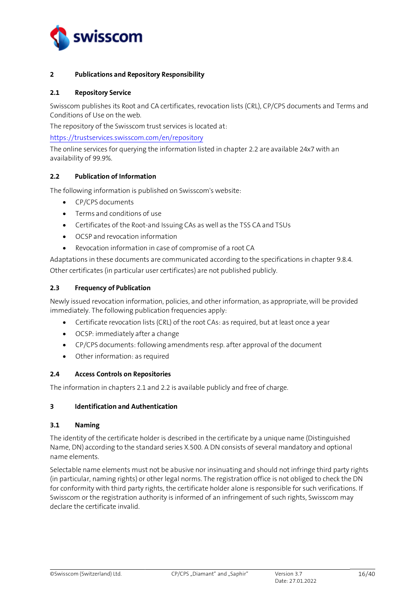

## <span id="page-15-0"></span>**2 Publications and Repository Responsibility**

#### <span id="page-15-1"></span>**2.1 Repository Service**

Swisscom publishes its Root and CA certificates, revocation lists (CRL), CP/CPS documents and Terms and Conditions of Use on the web.

The repository of the Swisscom trust services is located at:

<https://trustservices.swisscom.com/en/repository>

The online services for querying the information listed in chapte[r 2.2](#page-15-2) are available 24x7 with an availability of 99.9%.

## <span id="page-15-2"></span>**2.2 Publication of Information**

The following information is published on Swisscom's website:

- CP/CPS documents
- Terms and conditions of use
- Certificates of the Root-and Issuing CAs as well as the TSS CA and TSUs
- OCSP and revocation information
- Revocation information in case of compromise of a root CA

Adaptations in these documents are communicated according to the specifications in chapter [9.8.4.](#page-38-5) Other certificates (in particular user certificates) are not published publicly.

## <span id="page-15-3"></span>**2.3 Frequency of Publication**

Newly issued revocation information, policies, and other information, as appropriate, will be provided immediately. The following publication frequencies apply:

- Certificate revocation lists (CRL) of the root CAs: as required, but at least once a year
- OCSP: immediately after a change
- CP/CPS documents: following amendments resp. after approval of the document
- Other information: as required

#### <span id="page-15-4"></span>**2.4 Access Controls on Repositories**

The information in chapters 2.1 and 2.2 is available publicly and free of charge.

#### <span id="page-15-5"></span>**3 Identification and Authentication**

#### <span id="page-15-6"></span>**3.1 Naming**

The identity of the certificate holder is described in the certificate by a unique name (Distinguished Name, DN) according to the standard series X.500. A DN consists of several mandatory and optional name elements.

Selectable name elements must not be abusive nor insinuating and should not infringe third party rights (in particular, naming rights) or other legal norms. The registration office is not obliged to check the DN for conformity with third party rights, the certificate holder alone is responsible for such verifications. If Swisscom or the registration authority is informed of an infringement of such rights, Swisscom may declare the certificate invalid.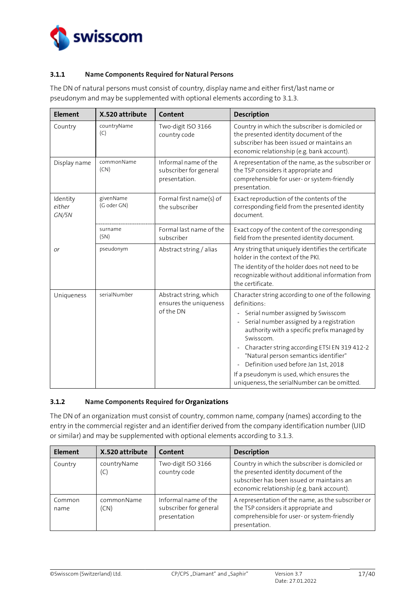

## <span id="page-16-0"></span>**3.1.1 Name Components Required for Natural Persons**

The DN of natural persons must consist of country, display name and either first/last name or pseudonym and may be supplemented with optional elements according to [3.1.3.](#page-17-0)

| <b>Element</b>              | X.520 attribute          | Content                                                         | <b>Description</b>                                                                                                                                                                                                                                                                                                                                                                                                                                                 |
|-----------------------------|--------------------------|-----------------------------------------------------------------|--------------------------------------------------------------------------------------------------------------------------------------------------------------------------------------------------------------------------------------------------------------------------------------------------------------------------------------------------------------------------------------------------------------------------------------------------------------------|
| Country                     | countryName<br>(C)       | Two-digit ISO 3166<br>country code                              | Country in which the subscriber is domiciled or<br>the presented identity document of the<br>subscriber has been issued or maintains an<br>economic relationship (e.g. bank account).                                                                                                                                                                                                                                                                              |
| Display name                | commonName<br>(CN)       | Informal name of the<br>subscriber for general<br>presentation. | A representation of the name, as the subscriber or<br>the TSP considers it appropriate and<br>comprehensible for user- or system-friendly<br>presentation.                                                                                                                                                                                                                                                                                                         |
| Identity<br>either<br>GN/SN | givenName<br>(G oder GN) | Formal first name(s) of<br>the subscriber                       | Exact reproduction of the contents of the<br>corresponding field from the presented identity<br>document.                                                                                                                                                                                                                                                                                                                                                          |
|                             | surname<br>(SN)          | Formal last name of the<br>subscriber                           | Exact copy of the content of the corresponding<br>field from the presented identity document.                                                                                                                                                                                                                                                                                                                                                                      |
| Оľ                          | pseudonym                | Abstract string / alias                                         | Any string that uniquely identifies the certificate<br>holder in the context of the PKI.<br>The identity of the holder does not need to be<br>recognizable without additional information from<br>the certificate.                                                                                                                                                                                                                                                 |
| Uniqueness                  | serialNumber             | Abstract string, which<br>ensures the uniqueness<br>of the DN   | Character string according to one of the following<br>definitions:<br>Serial number assigned by Swisscom<br>$\Box$<br>Serial number assigned by a registration<br>authority with a specific prefix managed by<br>Swisscom.<br>Character string according ETSI EN 319 412-2<br>$\Box$<br>"Natural person semantics identifier"<br>Definition used before Jan 1st, 2018<br>If a pseudonym is used, which ensures the<br>uniqueness, the serialNumber can be omitted. |

## <span id="page-16-1"></span>**3.1.2 Name Components Required for Organizations**

The DN of an organization must consist of country, common name, company (names) according to the entry in the commercial register and an identifier derived from the company identification number (UID or similar) and may be supplemented with optional elements according to [3.1.3.](#page-17-0)

| Element        | X.520 attribute    | Content                                                        | <b>Description</b>                                                                                                                                                                    |
|----------------|--------------------|----------------------------------------------------------------|---------------------------------------------------------------------------------------------------------------------------------------------------------------------------------------|
| Country        | countryName<br>(C) | Two-digit ISO 3166<br>country code                             | Country in which the subscriber is domiciled or<br>the presented identity document of the<br>subscriber has been issued or maintains an<br>economic relationship (e.g. bank account). |
| Common<br>name | commonName<br>(CN) | Informal name of the<br>subscriber for general<br>presentation | A representation of the name, as the subscriber or<br>the TSP considers it appropriate and<br>comprehensible for user- or system-friendly<br>presentation.                            |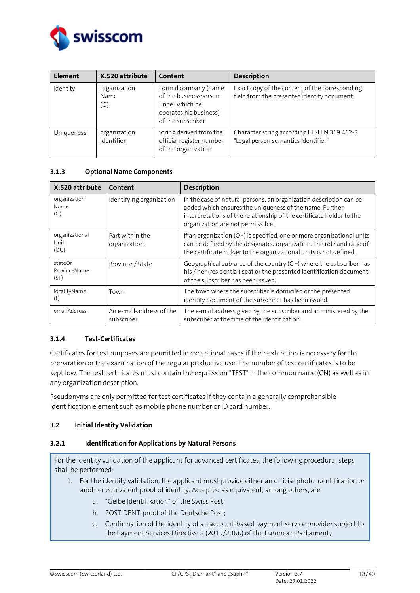

| <b>Element</b> | X.520 attribute             | Content                                                                                                        | <b>Description</b>                                                                            |
|----------------|-----------------------------|----------------------------------------------------------------------------------------------------------------|-----------------------------------------------------------------------------------------------|
| Identity       | organization<br>Name<br>(O) | Formal company (name<br>of the businessperson<br>under which he<br>operates his business)<br>of the subscriber | Exact copy of the content of the corresponding<br>field from the presented identity document. |
| Uniqueness     | organization<br>Identifier  | String derived from the<br>official register number<br>of the organization                                     | Character string according ETSI EN 319 412-3<br>"Legal person semantics identifier"           |

## <span id="page-17-0"></span>**3.1.3 Optional Name Components**

| X.520 attribute                                        | Content                          | <b>Description</b>                                                                                                                                                                                                                         |
|--------------------------------------------------------|----------------------------------|--------------------------------------------------------------------------------------------------------------------------------------------------------------------------------------------------------------------------------------------|
| organization<br>Name<br>(O)                            | Identifying organization         | In the case of natural persons, an organization description can be<br>added which ensures the uniqueness of the name. Further<br>interpretations of the relationship of the certificate holder to the<br>organization are not permissible. |
| organizational<br>Unit<br>(OU)                         | Part within the<br>organization. | If an organization ( $O=$ ) is specified, one or more organizational units<br>can be defined by the designated organization. The role and ratio of<br>the certificate holder to the organizational units is not defined.                   |
| stateOr<br>ProvinceName<br>(ST)                        | Province / State                 | Geographical sub-area of the country $(C =)$ where the subscriber has<br>his / her (residential) seat or the presented identification document<br>of the subscriber has been issued.                                                       |
| localityName<br>(L)                                    | Town                             | The town where the subscriber is domiciled or the presented<br>identity document of the subscriber has been issued.                                                                                                                        |
| emailAddress<br>An e-mail-address of the<br>subscriber |                                  | The e-mail address given by the subscriber and administered by the<br>subscriber at the time of the identification.                                                                                                                        |

## <span id="page-17-1"></span>**3.1.4 Test-Certificates**

Certificates for test purposes are permitted in exceptional cases if their exhibition is necessary for the preparation or the examination of the regular productive use. The number of test certificates is to be kept low. The test certificates must contain the expression "TEST" in the common name (CN) as well as in any organization description.

Pseudonyms are only permitted for test certificates if they contain a generally comprehensible identification element such as mobile phone number or ID card number.

## <span id="page-17-2"></span>**3.2 Initial Identity Validation**

#### <span id="page-17-3"></span>**3.2.1 Identification for Applications by Natural Persons**

For the identity validation of the applicant for advanced certificates, the following procedural steps shall be performed:

- 1. For the identity validation, the applicant must provide either an official photo identification or another equivalent proof of identity. Accepted as equivalent, among others, are
	- a. "Gelbe Identifikation" of the Swiss Post;
	- b. POSTIDENT-proof of the Deutsche Post;
	- c. Confirmation of the identity of an account-based payment service provider subject to the Payment Services Directive 2 (2015/2366) of the European Parliament;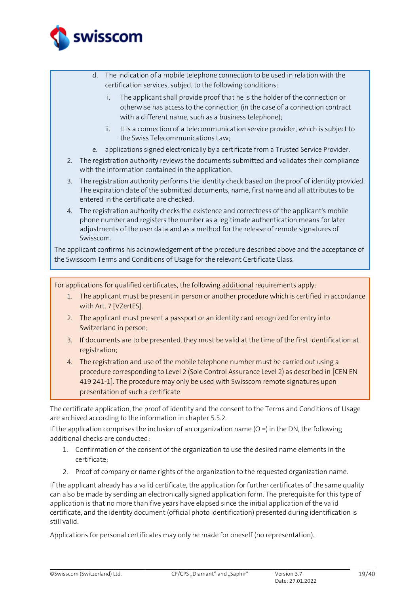

- d. The indication of a mobile telephone connection to be used in relation with the certification services, subject to the following conditions:
	- i. The applicant shall provide proof that he is the holder of the connection or otherwise has access to the connection (in the case of a connection contract with a different name, such as a business telephone);
	- ii. It is a connection of a telecommunication service provider, which is subject to the Swiss Telecommunications Law;
- e. applications signed electronically by a certificate from a Trusted Service Provider.
- 2. The registration authority reviews the documents submitted and validates their compliance with the information contained in the application.
- 3. The registration authority performs the identity check based on the proof of identity provided. The expiration date of the submitted documents, name, first name and all attributes to be entered in the certificate are checked.
- 4. The registration authority checks the existence and correctness of the applicant's mobile phone number and registers the number as a legitimate authentication means for later adjustments of the user data and as a method for the release of remote signatures of Swisscom.

The applicant confirms his acknowledgement of the procedure described above and the acceptance of the Swisscom Terms and Conditions of Usage for the relevant Certificate Class.

For applications for qualified certificates, the following additional requirements apply:

- 1. The applicant must be present in person or another procedure which is certified in accordance with Art. 7 [\[VZertES\].](#page-2-1)
- 2. The applicant must present a passport or an identity card recognized for entry into Switzerland in person;
- 3. If documents are to be presented, they must be valid at the time of the first identification at registration;
- 4. The registration and use of the mobile telephone number must be carried out using a procedure corresponding to Level 2 (Sole Control Assurance Level 2) as described in [\[CEN](#page-2-6) EN [419 241-1\].](#page-2-6) The procedure may only be used with Swisscom remote signatures upon presentation of such a certificate.

The certificate application, the proof of identity and the consent to the Terms and Conditions of Usage are archived according to the information in chapter 5.5.2.

If the application comprises the inclusion of an organization name  $(O =)$  in the DN, the following additional checks are conducted:

- 1. Confirmation of the consent of the organization to use the desired name elements in the certificate;
- 2. Proof of company or name rights of the organization to the requested organization name.

If the applicant already has a valid certificate, the application for further certificates of the same quality can also be made by sending an electronically signed application form. The prerequisite for this type of application is that no more than five years have elapsed since the initial application of the valid certificate, and the identity document (official photo identification) presented during identification is still valid.

Applications for personal certificates may only be made for oneself (no representation).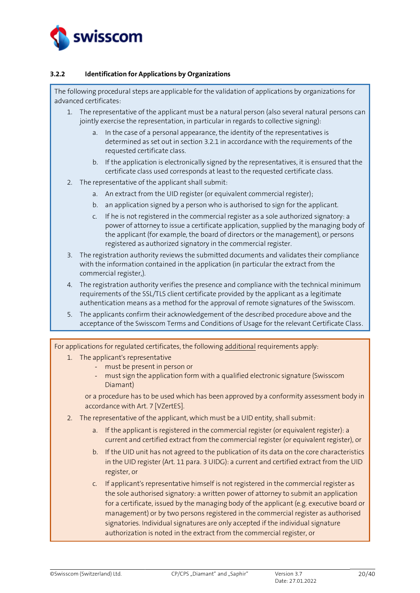

## <span id="page-19-0"></span>**3.2.2 Identification for Applications by Organizations**

The following procedural steps are applicable for the validation of applications by organizations for advanced certificates:

- 1. The representative of the applicant must be a natural person (also several natural persons can jointly exercise the representation, in particular in regards to collective signing):
	- a. In the case of a personal appearance, the identity of the representatives is determined as set out in sectio[n 3.2.1](#page-17-3) in accordance with the requirements of the requested certificate class.
	- b. If the application is electronically signed by the representatives, it is ensured that the certificate class used corresponds at least to the requested certificate class.
- 2. The representative of the applicant shall submit:
	- a. An extract from the UID register (or equivalent commercial register);
	- b. an application signed by a person who is authorised to sign for the applicant.
	- c. If he is not registered in the commercial register as a sole authorized signatory: a power of attorney to issue a certificate application, supplied by the managing body of the applicant (for example, the board of directors or the management), or persons registered as authorized signatory in the commercial register.
- 3. The registration authority reviews the submitted documents and validates their compliance with the information contained in the application (in particular the extract from the commercial register,).
- 4. The registration authority verifies the presence and compliance with the technical minimum requirements of the SSL/TLS client certificate provided by the applicant as a legitimate authentication means as a method for the approval of remote signatures of the Swisscom.
- 5. The applicants confirm their acknowledgement of the described procedure above and the acceptance of the Swisscom Terms and Conditions of Usage for the relevant Certificate Class.

For applications for regulated certificates, the following additional requirements apply:

- 1. The applicant's representative
	- must be present in person or
	- must sign the application form with a qualified electronic signature (Swisscom Diamant)

or a procedure has to be used which has been approved by a conformity assessment body in accordance with Art. [7 \[VZertES\].](#page-2-1)

- 2. The representative of the applicant, which must be a UID entity, shall submit:
	- a. If the applicant is registered in the commercial register (or equivalent register): a current and certified extract from the commercial register (or equivalent register), or
	- b. If the UID unit has not agreed to the publication of its data on the core characteristics in the UID register (Art. 11 para. 3 UIDG): a current and certified extract from the UID register, or
	- c. If applicant's representative himself is not registered in the commercial register as the sole authorised signatory: a written power of attorney to submit an application for a certificate, issued by the managing body of the applicant (e.g. executive board or management) or by two persons registered in the commercial register as authorised signatories. Individual signatures are only accepted if the individual signature authorization is noted in the extract from the commercial register, or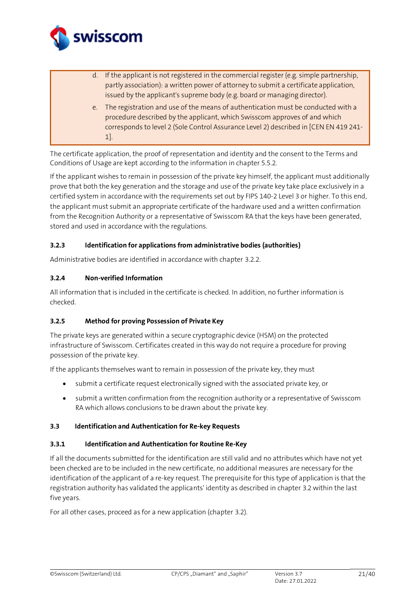

- d. If the applicant is not registered in the commercial register (e.g. simple partnership, partly association): a written power of attorney to submit a certificate application, issued by the applicant's supreme body (e.g. board or managing director).
- e. The registration and use of the means of authentication must be conducted with a procedure described by the applicant, which Swisscom approves of and which corresponds to level 2 (Sole Control Assurance Level 2) described in [CEN EN 419 241- 1].

The certificate application, the proof of representation and identity and the consent to the Terms and Conditions of Usage are kept according to the information in chapter 5.5.2.

If the applicant wishes to remain in possession of the private key himself, the applicant must additionally prove that both the key generation and the storage and use of the private key take place exclusively in a certified system in accordance with the requirements set out by FIPS 140-2 Level 3 or higher. To this end, the applicant must submit an appropriate certificate of the hardware used and a written confirmation from the Recognition Authority or a representative of Swisscom RA that the keys have been generated, stored and used in accordance with the regulations.

## <span id="page-20-0"></span>**3.2.3 Identification for applications from administrative bodies (authorities)**

Administrative bodies are identified in accordance with chapter [3.2.2.](#page-19-0)

## <span id="page-20-1"></span>**3.2.4 Non-verified Information**

All information that is included in the certificate is checked. In addition, no further information is checked.

## <span id="page-20-2"></span>**3.2.5 Method for proving Possession of Private Key**

The private keys are generated within a secure cryptographic device (HSM) on the protected infrastructure of Swisscom. Certificates created in this way do not require a procedure for proving possession of the private key.

If the applicants themselves want to remain in possession of the private key, they must

- submit a certificate request electronically signed with the associated private key, or
- submit a written confirmation from the recognition authority or a representative of Swisscom RA which allows conclusions to be drawn about the private key.

#### <span id="page-20-3"></span>**3.3 Identification and Authentication for Re-key Requests**

#### <span id="page-20-4"></span>**3.3.1 Identification and Authentication for Routine Re-Key**

If all the documents submitted for the identification are still valid and no attributes which have not yet been checked are to be included in the new certificate, no additional measures are necessary for the identification of the applicant of a re-key request. The prerequisite for this type of application is that the registration authority has validated the applicants' identity as described in chapte[r 3.2](#page-17-2) within the last five years.

For all other cases, proceed as for a new application (chapter [3.2\)](#page-17-2).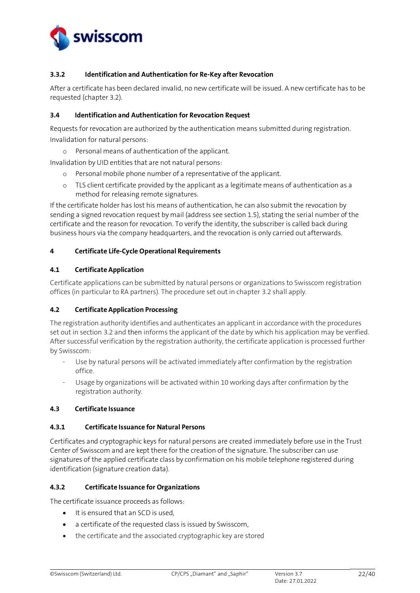

## <span id="page-21-0"></span>**3.3.2 Identification and Authentication for Re-Key after Revocation**

After a certificate has been declared invalid, no new certificate will be issued. A new certificate has to be requested (chapte[r 3.2\)](#page-17-2).

#### <span id="page-21-1"></span>**3.4 Identification and Authentication for Revocation Request**

Requests for revocation are authorized by the authentication means submitted during registration. Invalidation for natural persons:

o Personal means of authentication of the applicant.

Invalidation by UID entities that are not natural persons:

- o Personal mobile phone number of a representative of the applicant.
- o TLS client certificate provided by the applicant as a legitimate means of authentication as a method for releasing remote signatures.

If the certificate holder has lost his means of authentication, he can also submit the revocation by sending a signed revocation request by mail (address see sectio[n 1.5\)](#page-10-3), stating the serial number of the certificate and the reason for revocation. To verify the identity, the subscriber is called back during business hours via the company headquarters, and the revocation is only carried out afterwards.

## <span id="page-21-2"></span>**4 Certificate Life-Cycle Operational Requirements**

## <span id="page-21-3"></span>**4.1 Certificate Application**

Certificate applications can be submitted by natural persons or organizations to Swisscom registration offices (in particular to RA partners). The procedure set out in chapter [3.2](#page-17-2) shall apply.

## <span id="page-21-4"></span>**4.2 Certificate Application Processing**

The registration authority identifies and authenticates an applicant in accordance with the procedures set out in section [3.2](#page-17-2) and then informs the applicant of the date by which his application may be verified. After successful verification by the registration authority, the certificate application is processed further by Swisscom:

- Use by natural persons will be activated immediately after confirmation by the registration office.
- Usage by organizations will be activated within 10 working days after confirmation by the registration authority.

#### <span id="page-21-5"></span>**4.3 Certificate Issuance**

#### <span id="page-21-6"></span>**4.3.1 Certificate Issuance for Natural Persons**

Certificates and cryptographic keys for natural persons are created immediately before use in the Trust Center of Swisscom and are kept there for the creation of the signature. The subscriber can use signatures of the applied certificate class by confirmation on his mobile telephone registered during identification (signature creation data).

#### <span id="page-21-7"></span>**4.3.2 Certificate Issuance for Organizations**

The certificate issuance proceeds as follows:

- It is ensured that an SCD is used,
- a certificate of the requested class is issued by Swisscom,
- the certificate and the associated cryptographic key are stored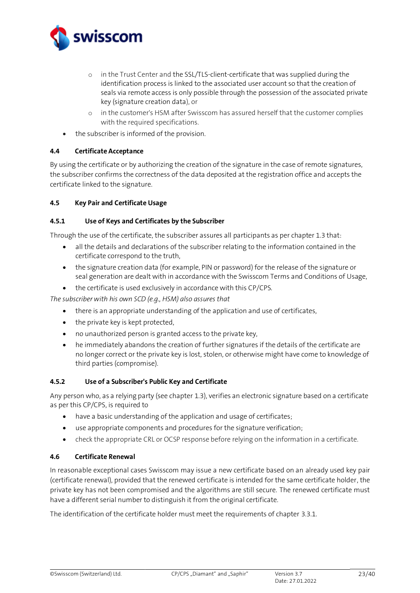

- o in the Trust Center and the SSL/TLS-client-certificate that was supplied during the identification process is linked to the associated user account so that the creation of seals via remote access is only possible through the possession of the associated private key (signature creation data), or
- o in the customer's HSM after Swisscom has assured herself that the customer complies with the required specifications.
- the subscriber is informed of the provision.

## <span id="page-22-0"></span>**4.4 Certificate Acceptance**

By using the certificate or by authorizing the creation of the signature in the case of remote signatures, the subscriber confirms the correctness of the data deposited at the registration office and accepts the certificate linked to the signature.

## <span id="page-22-1"></span>**4.5 Key Pair and Certificate Usage**

## <span id="page-22-2"></span>**4.5.1 Use of Keys and Certificates by the Subscriber**

Through the use of the certificate, the subscriber assures all participants as per chapter [1.3](#page-8-0) that:

- all the details and declarations of the subscriber relating to the information contained in the certificate correspond to the truth,
- the signature creation data (for example, PIN or password) for the release of the signature or seal generation are dealt with in accordance with the Swisscom Terms and Conditions of Usage,
- the certificate is used exclusively in accordance with this CP/CPS.

*The subscriber with his own SCD (e.g., HSM) also assures that*

- there is an appropriate understanding of the application and use of certificates,
- the private key is kept protected,
- no unauthorized person is granted access to the private key,
- he immediately abandons the creation of further signatures if the details of the certificate are no longer correct or the private key is lost, stolen, or otherwise might have come to knowledge of third parties (compromise).

#### <span id="page-22-3"></span>**4.5.2 Use of a Subscriber's Public Key and Certificate**

Any person who, as a relying party (see chapter [1.3\)](#page-8-0), verifies an electronic signature based on a certificate as per this CP/CPS, is required to

- have a basic understanding of the application and usage of certificates;
- use appropriate components and procedures for the signature verification;
- check the appropriate CRL or OCSP response before relying on the information in a certificate.

#### <span id="page-22-4"></span>**4.6 Certificate Renewal**

In reasonable exceptional cases Swisscom may issue a new certificate based on an already used key pair (certificate renewal), provided that the renewed certificate is intended for the same certificate holder, the private key has not been compromised and the algorithms are still secure. The renewed certificate must have a different serial number to distinguish it from the original certificate.

The identification of the certificate holder must meet the requirements of chapter [3.3.1.](#page-20-4)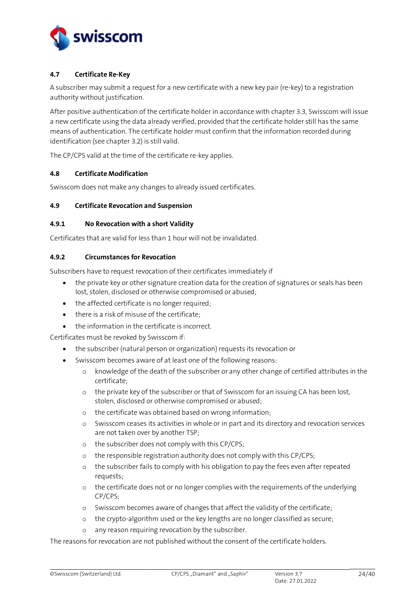

## <span id="page-23-0"></span>**4.7 Certificate Re-Key**

A subscriber may submit a request for a new certificate with a new key pair (re-key) to a registration authority without justification.

After positive authentication of the certificate holder in accordance with chapter 3.3, Swisscom will issue a new certificate using the data already verified, provided that the certificate holder still has the same means of authentication. The certificate holder must confirm that the information recorded during identification (see chapter 3.2) is still valid.

The CP/CPS valid at the time of the certificate re-key applies.

#### <span id="page-23-1"></span>**4.8 Certificate Modification**

Swisscom does not make any changes to already issued certificates.

## <span id="page-23-2"></span>**4.9 Certificate Revocation and Suspension**

#### <span id="page-23-3"></span>**4.9.1 No Revocation with a short Validity**

<span id="page-23-5"></span>Certificates that are valid for less than 1 hour will not be invalidated.

## <span id="page-23-4"></span>**4.9.2 Circumstances for Revocation**

Subscribers have to request revocation of their certificates immediately if

- the private key or other signature creation data for the creation of signatures or seals has been lost, stolen, disclosed or otherwise compromised or abused;
- the affected certificate is no longer required;
- there is a risk of misuse of the certificate;
- the information in the certificate is incorrect.

Certificates must be revoked by Swisscom if:

- the subscriber (natural person or organization) requests its revocation or
- Swisscom becomes aware of at least one of the following reasons:
	- o knowledge of the death of the subscriber or any other change of certified attributes in the certificate;
	- o the private key of the subscriber or that of Swisscom for an issuing CA has been lost, stolen, disclosed or otherwise compromised or abused;
	- o the certificate was obtained based on wrong information;
	- o Swisscom ceases its activities in whole or in part and its directory and revocation services are not taken over by another TSP;
	- o the subscriber does not comply with this CP/CPS;
	- o the responsible registration authority does not comply with this CP/CPS;
	- o the subscriber fails to comply with his obligation to pay the fees even after repeated requests;
	- o the certificate does not or no longer complies with the requirements of the underlying CP/CPS;
	- o Swisscom becomes aware of changes that affect the validity of the certificate;
	- o the crypto-algorithm used or the key lengths are no longer classified as secure;
	- o any reason requiring revocation by the subscriber.

The reasons for revocation are not published without the consent of the certificate holders.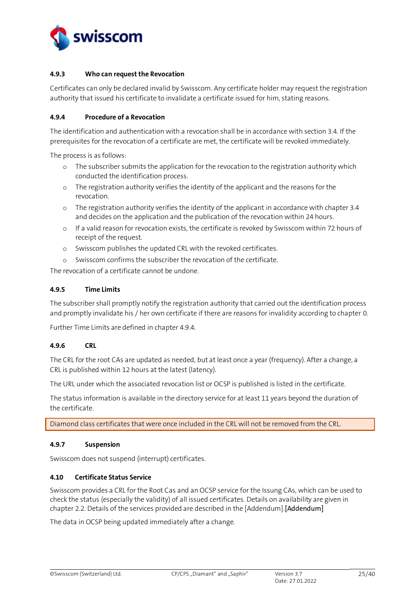

## <span id="page-24-0"></span>**4.9.3 Who can request the Revocation**

Certificates can only be declared invalid by Swisscom. Any certificate holder may request the registration authority that issued his certificate to invalidate a certificate issued for him, stating reasons.

#### <span id="page-24-1"></span>**4.9.4 Procedure of a Revocation**

The identification and authentication with a revocation shall be in accordance with section 3.4. If the prerequisites for the revocation of a certificate are met, the certificate will be revoked immediately.

The process is as follows:

- o The subscriber submits the application for the revocation to the registration authority which conducted the identification process.
- o The registration authority verifies the identity of the applicant and the reasons for the revocation.
- o The registration authority verifies the identity of the applicant in accordance with chapter 3.4 and decides on the application and the publication of the revocation within 24 hours.
- o If a valid reason for revocation exists, the certificate is revoked by Swisscom within 72 hours of receipt of the request.
- o Swisscom publishes the updated CRL with the revoked certificates.
- o Swisscom confirms the subscriber the revocation of the certificate.

The revocation of a certificate cannot be undone.

## <span id="page-24-2"></span>**4.9.5 Time Limits**

The subscriber shall promptly notify the registration authority that carried out the identification process and promptly invalidate his / her own certificate if there are reasons for invalidity according to chapter [0.](#page-23-5)

Further Time Limits are defined in chapter 4.9.4.

#### <span id="page-24-3"></span>**4.9.6 CRL**

The CRL for the root CAs are updated as needed, but at least once a year (frequency). After a change, a CRL is published within 12 hours at the latest (latency).

The URL under which the associated revocation list or OCSP is published is listed in the certificate.

The status information is available in the directory service for at least 11 years beyond the duration of the certificate.

Diamond class certificates that were once included in the CRL will not be removed from the CRL.

#### <span id="page-24-4"></span>**4.9.7 Suspension**

Swisscom does not suspend (interrupt) certificates.

## <span id="page-24-5"></span>**4.10 Certificate Status Service**

Swisscom provides a CRL for the Root Cas and an OCSP service for the Issung CAs, which can be used to check the status (especially the validity) of all issued certificates. Details on availability are given in chapte[r 2.2.](#page-15-2) Details of the services provided are described in the [Addendum].[\[Addendum\]](#page-2-7)

The data in OCSP being updated immediately after a change.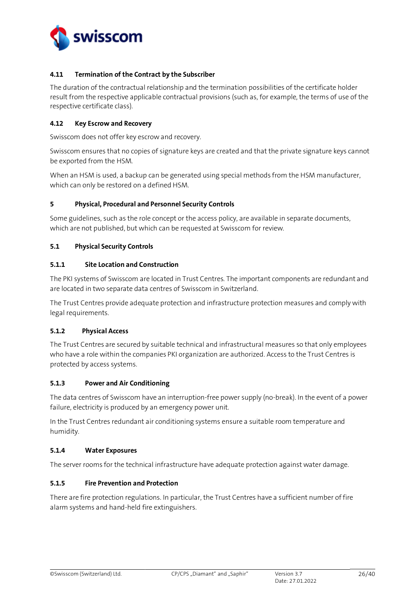

## <span id="page-25-0"></span>**4.11 Termination of the Contract by the Subscriber**

The duration of the contractual relationship and the termination possibilities of the certificate holder result from the respective applicable contractual provisions (such as, for example, the terms of use of the respective certificate class).

#### <span id="page-25-1"></span>**4.12 Key Escrow and Recovery**

Swisscom does not offer key escrow and recovery.

Swisscom ensures that no copies of signature keys are created and that the private signature keys cannot be exported from the HSM.

When an HSM is used, a backup can be generated using special methods from the HSM manufacturer, which can only be restored on a defined HSM.

#### <span id="page-25-2"></span>**5 Physical, Procedural and Personnel Security Controls**

Some guidelines, such as the role concept or the access policy, are available in separate documents, which are not published, but which can be requested at Swisscom for review.

#### <span id="page-25-3"></span>**5.1 Physical Security Controls**

## <span id="page-25-4"></span>**5.1.1 Site Location and Construction**

The PKI systems of Swisscom are located in Trust Centres. The important components are redundant and are located in two separate data centres of Swisscom in Switzerland.

The Trust Centres provide adequate protection and infrastructure protection measures and comply with legal requirements.

#### <span id="page-25-5"></span>**5.1.2 Physical Access**

The Trust Centres are secured by suitable technical and infrastructural measures so that only employees who have a role within the companies PKI organization are authorized. Access to the Trust Centres is protected by access systems.

#### <span id="page-25-6"></span>**5.1.3 Power and Air Conditioning**

The data centres of Swisscom have an interruption-free power supply (no-break). In the event of a power failure, electricity is produced by an emergency power unit.

In the Trust Centres redundant air conditioning systems ensure a suitable room temperature and humidity.

#### <span id="page-25-7"></span>**5.1.4 Water Exposures**

The server rooms for the technical infrastructure have adequate protection against water damage.

## <span id="page-25-8"></span>**5.1.5 Fire Prevention and Protection**

There are fire protection regulations. In particular, the Trust Centres have a sufficient number of fire alarm systems and hand-held fire extinguishers.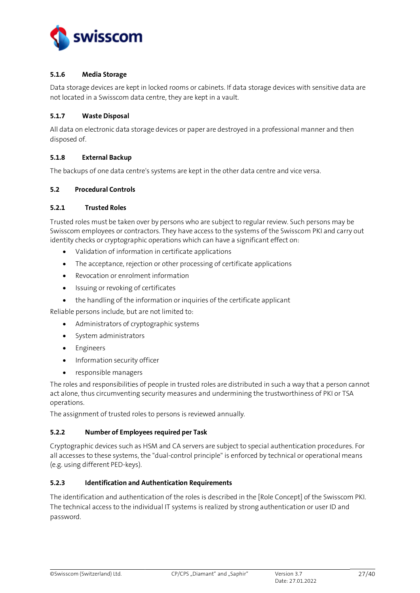

#### <span id="page-26-0"></span>**5.1.6 Media Storage**

Data storage devices are kept in locked rooms or cabinets. If data storage devices with sensitive data are not located in a Swisscom data centre, they are kept in a vault.

## <span id="page-26-1"></span>**5.1.7 Waste Disposal**

All data on electronic data storage devices or paper are destroyed in a professional manner and then disposed of.

## <span id="page-26-2"></span>**5.1.8 External Backup**

The backups of one data centre's systems are kept in the other data centre and vice versa.

## <span id="page-26-3"></span>**5.2 Procedural Controls**

#### <span id="page-26-4"></span>**5.2.1 Trusted Roles**

Trusted roles must be taken over by persons who are subject to regular review. Such persons may be Swisscom employees or contractors. They have access to the systems of the Swisscom PKI and carry out identity checks or cryptographic operations which can have a significant effect on:

- Validation of information in certificate applications
- The acceptance, rejection or other processing of certificate applications
- Revocation or enrolment information
- Issuing or revoking of certificates
- the handling of the information or inquiries of the certificate applicant

Reliable persons include, but are not limited to:

- Administrators of cryptographic systems
- System administrators
- **Engineers**
- Information security officer
- responsible managers

The roles and responsibilities of people in trusted roles are distributed in such a way that a person cannot act alone, thus circumventing security measures and undermining the trustworthiness of PKI or TSA operations.

The assignment of trusted roles to persons is reviewed annually.

#### <span id="page-26-5"></span>**5.2.2 Number of Employees required per Task**

Cryptographic devices such as HSM and CA servers are subject to special authentication procedures. For all accesses to these systems, the "dual-control principle" is enforced by technical or operational means (e.g. using different PED-keys).

## <span id="page-26-6"></span>**5.2.3 Identification and Authentication Requirements**

The identification and authentication of the roles is described in the [Role [Concept\]](#page-2-8) of the Swisscom PKI. The technical access to the individual IT systems is realized by strong authentication or user ID and password.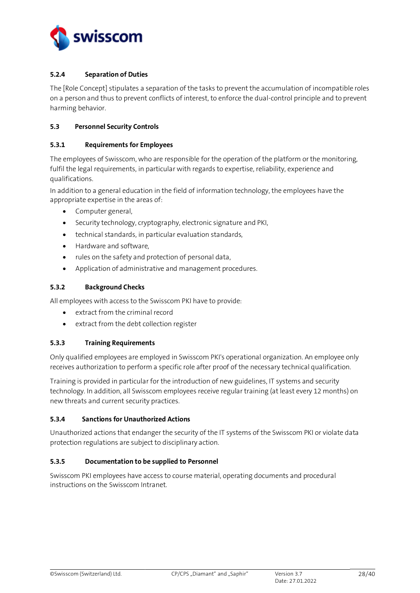

## <span id="page-27-0"></span>**5.2.4 Separation of Duties**

The [Role [Concept\]](#page-2-8) stipulates a separation of the tasks to prevent the accumulation of incompatible roles on a person and thus to prevent conflicts of interest, to enforce the dual-control principle and to prevent harming behavior.

#### <span id="page-27-1"></span>**5.3 Personnel Security Controls**

#### <span id="page-27-2"></span>**5.3.1 Requirements for Employees**

The employees of Swisscom, who are responsible for the operation of the platform or the monitoring, fulfil the legal requirements, in particular with regards to expertise, reliability, experience and qualifications.

In addition to a general education in the field of information technology, the employees have the appropriate expertise in the areas of:

- Computer general,
- Security technology, cryptography, electronic signature and PKI,
- technical standards, in particular evaluation standards,
- Hardware and software,
- rules on the safety and protection of personal data,
- Application of administrative and management procedures.

#### <span id="page-27-3"></span>**5.3.2 Background Checks**

All employees with access to the Swisscom PKI have to provide:

- extract from the criminal record
- extract from the debt collection register

#### <span id="page-27-4"></span>**5.3.3 Training Requirements**

Only qualified employees are employed in Swisscom PKI's operational organization. An employee only receives authorization to perform a specific role after proof of the necessary technical qualification.

Training is provided in particular for the introduction of new guidelines, IT systems and security technology. In addition, all Swisscom employees receive regular training (at least every 12 months) on new threats and current security practices.

#### <span id="page-27-5"></span>**5.3.4 Sanctions for Unauthorized Actions**

Unauthorized actions that endanger the security of the IT systems of the Swisscom PKI or violate data protection regulations are subject to disciplinary action.

#### <span id="page-27-6"></span>**5.3.5 Documentation to be supplied to Personnel**

<span id="page-27-7"></span>Swisscom PKI employees have access to course material, operating documents and procedural instructions on the Swisscom Intranet.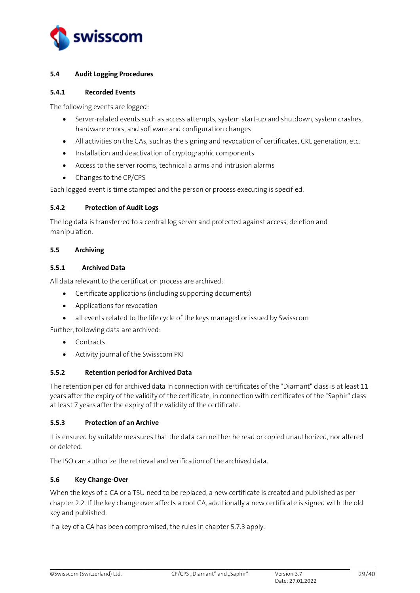

## <span id="page-28-0"></span>**5.4 Audit Logging Procedures**

#### <span id="page-28-1"></span>**5.4.1 Recorded Events**

The following events are logged:

- Server-related events such as access attempts, system start-up and shutdown, system crashes, hardware errors, and software and configuration changes
- All activities on the CAs, such as the signing and revocation of certificates, CRL generation, etc.
- Installation and deactivation of cryptographic components
- Access to the server rooms, technical alarms and intrusion alarms
- Changes to the CP/CPS

Each logged event is time stamped and the person or process executing is specified.

## <span id="page-28-2"></span>**5.4.2 Protection of Audit Logs**

The log data is transferred to a central log server and protected against access, deletion and manipulation.

## <span id="page-28-3"></span>**5.5 Archiving**

## <span id="page-28-4"></span>**5.5.1 Archived Data**

All data relevant to the certification process are archived:

- Certificate applications (including supporting documents)
- Applications for revocation
- all events related to the life cycle of the keys managed or issued by Swisscom

Further, following data are archived:

- Contracts
- Activity journal of the Swisscom PKI

## <span id="page-28-5"></span>**5.5.2 Retention period for Archived Data**

The retention period for archived data in connection with certificates of the "Diamant" class is at least 11 years after the expiry of the validity of the certificate, in connection with certificates of the "Saphir" class at least 7 years after the expiry of the validity of the certificate.

#### <span id="page-28-6"></span>**5.5.3 Protection of an Archive**

It is ensured by suitable measures that the data can neither be read or copied unauthorized, nor altered or deleted.

The ISO can authorize the retrieval and verification of the archived data.

## <span id="page-28-7"></span>**5.6 Key Change-Over**

When the keys of a CA or a TSU need to be replaced, a new certificate is created and published as per chapte[r 2.2.](#page-15-2) If the key change over affects a root CA, additionally a new certificate is signed with the old key and published.

If a key of a CA has been compromised, the rules in chapte[r 5.7.3](#page-29-3) apply.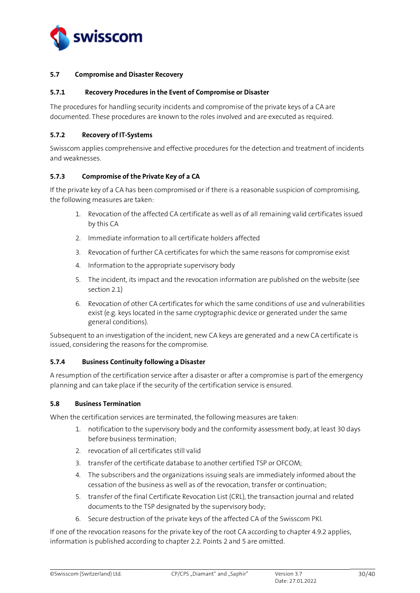

#### <span id="page-29-0"></span>**5.7 Compromise and Disaster Recovery**

#### <span id="page-29-1"></span>**5.7.1 Recovery Procedures in the Event of Compromise or Disaster**

The procedures for handling security incidents and compromise of the private keys of a CA are documented. These procedures are known to the roles involved and are executed as required.

## <span id="page-29-2"></span>**5.7.2 Recovery of IT-Systems**

Swisscom applies comprehensive and effective procedures for the detection and treatment of incidents and weaknesses.

## <span id="page-29-3"></span>**5.7.3 Compromise of the Private Key of a CA**

If the private key of a CA has been compromised or if there is a reasonable suspicion of compromising, the following measures are taken:

- 1. Revocation of the affected CA certificate as well as of all remaining valid certificates issued by this CA
- 2. Immediate information to all certificate holders affected
- 3. Revocation of further CA certificates for which the same reasons for compromise exist
- 4. Information to the appropriate supervisory body
- 5. The incident, its impact and the revocation information are published on the website (see section 2.1)
- 6. Revocation of other CA certificates for which the same conditions of use and vulnerabilities exist (e.g. keys located in the same cryptographic device or generated under the same general conditions).

Subsequent to an investigation of the incident, new CA keys are generated and a new CA certificate is issued, considering the reasons for the compromise.

## <span id="page-29-4"></span>**5.7.4 Business Continuity following a Disaster**

A resumption of the certification service after a disaster or after a compromise is part of the emergency planning and can take place if the security of the certification service is ensured.

#### <span id="page-29-5"></span>**5.8 Business Termination**

When the certification services are terminated, the following measures are taken:

- 1. notification to the supervisory body and the conformity assessment body, at least 30 days before business termination;
- 2. revocation of all certificates still valid
- 3. transfer of the certificate database to another certified TSP or OFCOM;
- 4. The subscribers and the organizations issuing seals are immediately informed about the cessation of the business as well as of the revocation, transfer or continuation;
- 5. transfer of the final Certificate Revocation List (CRL), the transaction journal and related documents to the TSP designated by the supervisory body;
- 6. Secure destruction of the private keys of the affected CA of the Swisscom PKI.

If one of the revocation reasons for the private key of the root CA according to chapter 4.9.2 applies, information is published according to chapter 2.2. Points 2 and 5 are omitted.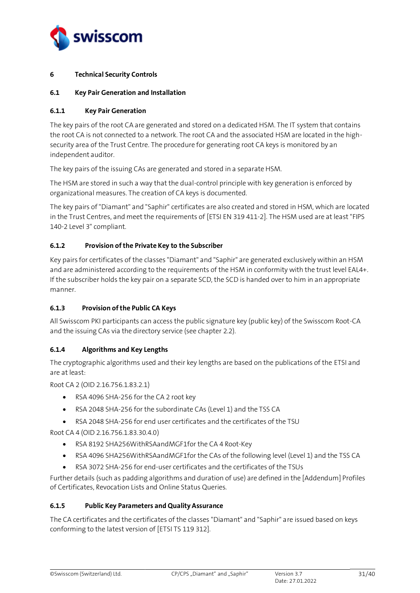

## <span id="page-30-0"></span>**6 Technical Security Controls**

## <span id="page-30-1"></span>**6.1 Key Pair Generation and Installation**

## <span id="page-30-2"></span>**6.1.1 Key Pair Generation**

The key pairs of the root CA are generated and stored on a dedicated HSM. The IT system that contains the root CA is not connected to a network. The root CA and the associated HSM are located in the highsecurity area of the Trust Centre. The procedure for generating root CA keys is monitored by an independent auditor.

The key pairs of the issuing CAs are generated and stored in a separate HSM.

The HSM are stored in such a way that the dual-control principle with key generation is enforced by organizational measures. The creation of CA keys is documented.

The key pairs of "Diamant" and "Saphir" certificates are also created and stored in HSM, which are located in the Trust Centres, and meet the requirements o[f \[ETSI EN 319 411-2\].](#page-2-4) The HSM used are at least "FIPS 140-2 Level 3" compliant.

## <span id="page-30-3"></span>**6.1.2 Provision of the Private Key to the Subscriber**

Key pairs for certificates of the classes "Diamant" and "Saphir" are generated exclusively within an HSM and are administered according to the requirements of the HSM in conformity with the trust level EAL4+. If the subscriber holds the key pair on a separate SCD, the SCD is handed over to him in an appropriate manner.

## <span id="page-30-4"></span>**6.1.3 Provision of the Public CA Keys**

All Swisscom PKI participants can access the public signature key (public key) of the Swisscom Root-CA and the issuing CAs via the directory service (see chapte[r 2.2\)](#page-15-2).

## <span id="page-30-5"></span>**6.1.4 Algorithms and Key Lengths**

The cryptographic algorithms used and their key lengths are based on the publications of the ETSI and are at least:

Root CA 2 (OID 2.16.756.1.83.2.1)

- RSA 4096 SHA-256 for the CA 2 root key
- RSA 2048 SHA-256 for the subordinate CAs (Level 1) and the TSS CA
- RSA 2048 SHA-256 for end user certificates and the certificates of the TSU

Root CA 4 (OID 2.16.756.1.83.30.4.0)

- RSA 8192 SHA256WithRSAandMGF1for the CA 4 Root-Key
- RSA 4096 SHA256WithRSAandMGF1for the CAs of the following level (Level 1) and the TSS CA
- RSA 3072 SHA-256 for end-user certificates and the certificates of the TSUs

Further details (such as padding algorithms and duration of use) are defined in the [Addendum] Profiles of Certificates, Revocation Lists and Online Status Queries.

#### <span id="page-30-6"></span>**6.1.5 Public Key Parameters and Quality Assurance**

The CA certificates and the certificates of the classes "Diamant" and "Saphir" are issued based on keys conforming to the latest version of [\[ETSI TS 119 312\].](#page-2-9)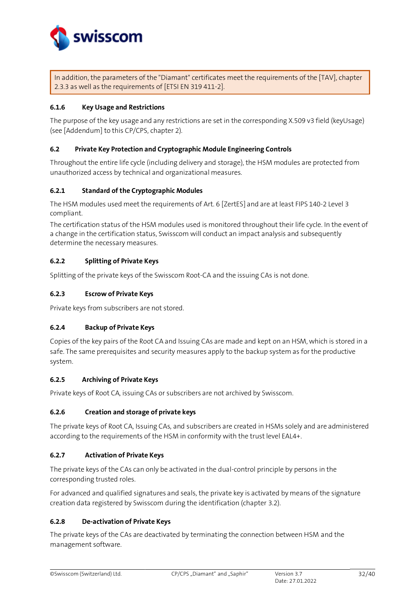

In addition, the parameters of the "Diamant" certificates meet the requirements of the [\[TAV\],](#page-2-10) chapter 2.3.3 as well as the requirements o[f \[ETSI EN 319 411-2\].](#page-2-4)

## <span id="page-31-0"></span>**6.1.6 Key Usage and Restrictions**

The purpose of the key usage and any restrictions are set in the corresponding X.509 v3 field (keyUsage) (se[e \[Addendum\]](#page-2-7) to this CP/CPS, chapter 2).

#### <span id="page-31-1"></span>**6.2 Private Key Protection and Cryptographic Module Engineering Controls**

Throughout the entire life cycle (including delivery and storage), the HSM modules are protected from unauthorized access by technical and organizational measures.

## <span id="page-31-2"></span>**6.2.1 Standard of the Cryptographic Modules**

The HSM modules used meet the requirements of Art. [6 \[ZertES\]](#page-2-0) and are at least FIPS 140-2 Level 3 compliant.

The certification status of the HSM modules used is monitored throughout their life cycle. In the event of a change in the certification status, Swisscom will conduct an impact analysis and subsequently determine the necessary measures.

## <span id="page-31-3"></span>**6.2.2 Splitting of Private Keys**

Splitting of the private keys of the Swisscom Root-CA and the issuing CAs is not done.

## <span id="page-31-4"></span>**6.2.3 Escrow of Private Keys**

Private keys from subscribers are not stored.

## <span id="page-31-5"></span>**6.2.4 Backup of Private Keys**

Copies of the key pairs of the Root CA and Issuing CAs are made and kept on an HSM, which is stored in a safe. The same prerequisites and security measures apply to the backup system as for the productive system.

## <span id="page-31-6"></span>**6.2.5 Archiving of Private Keys**

Private keys of Root CA, issuing CAs or subscribers are not archived by Swisscom.

## <span id="page-31-7"></span>**6.2.6 Creation and storage of private keys**

The private keys of Root CA, Issuing CAs, and subscribers are created in HSMs solely and are administered according to the requirements of the HSM in conformity with the trust level EAL4+.

## <span id="page-31-8"></span>**6.2.7 Activation of Private Keys**

The private keys of the CAs can only be activated in the dual-control principle by persons in the corresponding trusted roles.

For advanced and qualified signatures and seals, the private key is activated by means of the signature creation data registered by Swisscom during the identification (chapter [3.2\)](#page-17-2).

## <span id="page-31-9"></span>**6.2.8 De-activation of Private Keys**

The private keys of the CAs are deactivated by terminating the connection between HSM and the management software.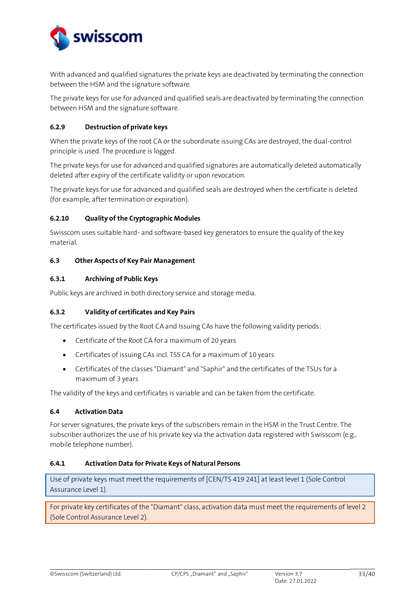

With advanced and qualified signatures the private keys are deactivated by terminating the connection between the HSM and the signature software.

The private keys for use for advanced and qualified seals are deactivated by terminating the connection between HSM and the signature software.

## <span id="page-32-0"></span>**6.2.9 Destruction of private keys**

When the private keys of the root CA or the subordinate issuing CAs are destroyed, the dual-control principle is used. The procedure is logged.

The private keys for use for advanced and qualified signatures are automatically deleted automatically deleted after expiry of the certificate validity or upon revocation.

The private keys for use for advanced and qualified seals are destroyed when the certificate is deleted (for example, after termination or expiration).

## <span id="page-32-1"></span>**6.2.10 Quality of the Cryptographic Modules**

Swisscom uses suitable hard- and software-based key generators to ensure the quality of the key material.

## <span id="page-32-2"></span>**6.3 Other Aspects of Key Pair Management**

## <span id="page-32-3"></span>**6.3.1 Archiving of Public Keys**

Public keys are archived in both directory service and storage media.

## <span id="page-32-4"></span>**6.3.2 Validity of certificates and Key Pairs**

The certificates issued by the Root CA and Issuing CAs have the following validity periods:

- Certificate of the Root CA for a maximum of 20 years
- Certificates of issuing CAs incl. TSS CA for a maximum of 10 years
- Certificates of the classes "Diamant" and "Saphir" and the certificates of the TSUs for a maximum of 3 years

The validity of the keys and certificates is variable and can be taken from the certificate.

## <span id="page-32-5"></span>**6.4 Activation Data**

For server signatures, the private keys of the subscribers remain in the HSM in the Trust Centre. The subscriber authorizes the use of his private key via the activation data registered with Swisscom (e.g., mobile telephone number).

#### <span id="page-32-6"></span>**6.4.1 Activation Data for Private Keys of Natural Persons**

Use of private keys must meet the requirements of [CEN/TS 419 241] at least level 1 (Sole Control Assurance Level 1).

For private key certificates of the "Diamant" class, activation data must meet the requirements of level 2 (Sole Control Assurance Level 2).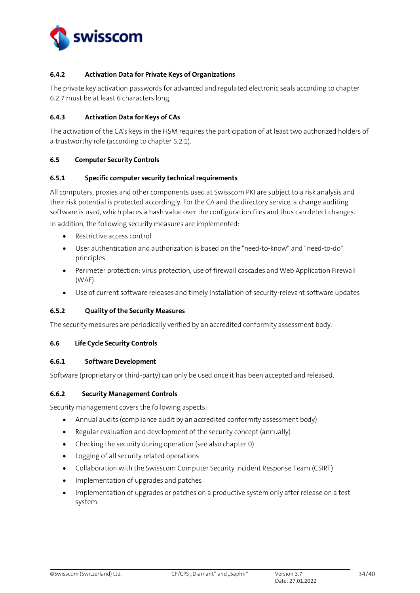

## <span id="page-33-0"></span>**6.4.2 Activation Data for Private Keys of Organizations**

The private key activation passwords for advanced and regulated electronic seals according to chapter [6.2.7](#page-31-8) must be at least 6 characters long.

## <span id="page-33-1"></span>**6.4.3 Activation Data for Keys of CAs**

The activation of the CA's keys in the HSM requires the participation of at least two authorized holders of a trustworthy role (according to chapte[r 5.2.1\)](#page-26-4).

## <span id="page-33-2"></span>**6.5 Computer Security Controls**

## <span id="page-33-3"></span>**6.5.1 Specific computer security technical requirements**

All computers, proxies and other components used at Swisscom PKI are subject to a risk analysis and their risk potential is protected accordingly. For the CA and the directory service, a change auditing software is used, which places a hash value over the configuration files and thus can detect changes. In addition, the following security measures are implemented:

- Restrictive access control
- User authentication and authorization is based on the "need-to-know" and "need-to-do" principles
- Perimeter protection: virus protection, use of firewall cascades and Web Application Firewall (WAF).
- Use of current software releases and timely installation of security-relevant software updates

## <span id="page-33-4"></span>**6.5.2 Quality of the Security Measures**

The security measures are periodically verified by an accredited conformity assessment body.

#### <span id="page-33-5"></span>**6.6 Life Cycle Security Controls**

#### <span id="page-33-6"></span>**6.6.1 Software Development**

Software (proprietary or third-party) can only be used once it has been accepted and released.

#### <span id="page-33-7"></span>**6.6.2 Security Management Controls**

Security management covers the following aspects:

- Annual audits (compliance audit by an accredited conformity assessment body)
- Regular evaluation and development of the security concept (annually)
- Checking the security during operation (see also chapte[r 0\)](#page-27-7)
- Logging of all security related operations
- Collaboration with the Swisscom Computer Security Incident Response Team (CSIRT)
- Implementation of upgrades and patches
- Implementation of upgrades or patches on a productive system only after release on a test system.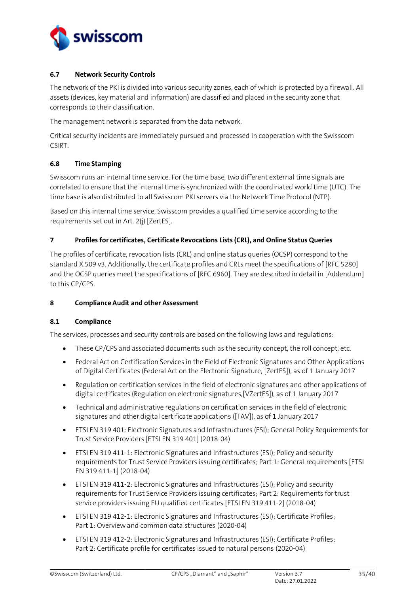

## <span id="page-34-0"></span>**6.7 Network Security Controls**

The network of the PKI is divided into various security zones, each of which is protected by a firewall. All assets (devices, key material and information) are classified and placed in the security zone that corresponds to their classification.

The management network is separated from the data network.

Critical security incidents are immediately pursued and processed in cooperation with the Swisscom CSIRT.

## <span id="page-34-1"></span>**6.8 Time Stamping**

Swisscom runs an internal time service. For the time base, two different external time signals are correlated to ensure that the internal time is synchronized with the coordinated world time (UTC). The time base is also distributed to all Swisscom PKI servers via the Network Time Protocol (NTP).

Based on this internal time service, Swisscom provides a qualified time service according to the requirements set out in Art. 2(j[\) \[ZertES\].](#page-2-0)

## <span id="page-34-2"></span>**7 Profiles for certificates, Certificate Revocations Lists (CRL), and Online Status Queries**

The profiles of certificate, revocation lists (CRL) and online status queries (OCSP) correspond to the standard X.509 v3. Additionally, the certificate profiles and CRLs meet the specifications of [\[RFC 5280\]](#page-2-11) and the OCSP queries meet the specifications o[f \[RFC 6960\].](#page-2-12) They are described in detail in [\[Addendum\]](#page-2-7) to this CP/CPS.

#### <span id="page-34-3"></span>**8 Compliance Audit and other Assessment**

#### <span id="page-34-4"></span>**8.1 Compliance**

The services, processes and security controls are based on the following laws and regulations:

- These CP/CPS and associated documents such as the security concept, the roll concept, etc.
- Federal Act on Certification Services in the Field of Electronic Signatures and Other Applications of Digital Certificates (Federal Act on the Electronic Signature[, \[ZertES\]\)](#page-2-0), as of 1 January 2017
- Regulation on certification services in the field of electronic signatures and other applications of digital certificates (Regulation on electronic signature[s,\[VZertES\]\)](#page-2-1), as of 1 January 2017
- Technical and administrative regulations on certification services in the field of electronic signatures and other digital certificate applications [\(\[TAV\]\)](#page-2-10), as of 1 January 2017
- ETSI EN 319 401: Electronic Signatures and Infrastructures (ESI); General Policy Requirements for Trust Service Provider[s \[ETSI EN 319 401\]](#page-2-13) (2018-04)
- ETSI EN 319 411-1: Electronic Signatures and Infrastructures (ESI); Policy and security requirements for Trust Service Providers issuing certificates; Part 1: General requirement[s \[ETSI](#page-2-3)  [EN 319 411-1\]](#page-2-3) (2018-04)
- ETSI EN 319 411-2: Electronic Signatures and Infrastructures (ESI); Policy and security requirements for Trust Service Providers issuing certificates; Part 2: Requirements for trust service providers issuing EU qualified certificate[s \[ETSI EN 319 411-2\]](#page-2-4) (2018-04)
- ETSI EN 319 412-1: Electronic Signatures and Infrastructures (ESI); Certificate Profiles; Part 1: Overview and common data structures (2020-04)
- ETSI EN 319 412-2: Electronic Signatures and Infrastructures (ESI); Certificate Profiles; Part 2: Certificate profile for certificates issued to natural persons (2020-04)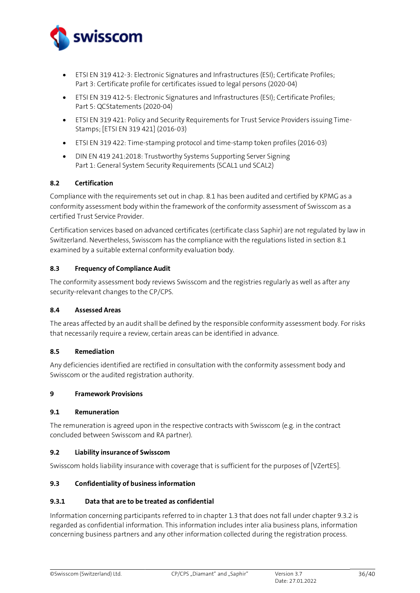

- ETSI EN 319 412-3: Electronic Signatures and Infrastructures (ESI); Certificate Profiles; Part 3: Certificate profile for certificates issued to legal persons (2020-04)
- ETSI EN 319 412-5: Electronic Signatures and Infrastructures (ESI); Certificate Profiles; Part 5: QCStatements (2020-04)
- ETSI EN 319 421: Policy and Security Requirements for Trust Service Providers issuing Time-Stamps[; \[ETSI EN 319 421\]](#page-2-5) (2016-03)
- ETSI EN 319 422: Time-stamping protocol and time-stamp token profiles (2016-03)
- DIN EN 419 241:2018: Trustworthy Systems Supporting Server Signing Part 1: General System Security Requirements (SCAL1 und SCAL2)

## <span id="page-35-0"></span>**8.2 Certification**

Compliance with the requirements set out in chap. [8.1](#page-34-4) has been audited and certified by KPMG as a conformity assessment body within the framework of the conformity assessment of Swisscom as a certified Trust Service Provider.

Certification services based on advanced certificates (certificate class Saphir) are not regulated by law in Switzerland. Nevertheless, Swisscom has the compliance with the regulations listed in section [8.1](#page-34-4) examined by a suitable external conformity evaluation body.

## <span id="page-35-1"></span>**8.3 Frequency of Compliance Audit**

The conformity assessment body reviews Swisscom and the registries regularly as well as after any security-relevant changes to the CP/CPS.

#### <span id="page-35-2"></span>**8.4 Assessed Areas**

The areas affected by an audit shall be defined by the responsible conformity assessment body. For risks that necessarily require a review, certain areas can be identified in advance.

#### <span id="page-35-3"></span>**8.5 Remediation**

Any deficiencies identified are rectified in consultation with the conformity assessment body and Swisscom or the audited registration authority.

#### <span id="page-35-4"></span>**9 Framework Provisions**

#### <span id="page-35-5"></span>**9.1 Remuneration**

The remuneration is agreed upon in the respective contracts with Swisscom (e.g. in the contract concluded between Swisscom and RA partner).

#### <span id="page-35-6"></span>**9.2 Liability insurance of Swisscom**

Swisscom holds liability insurance with coverage that is sufficient for the purposes of [\[VZertES\].](#page-2-1)

## <span id="page-35-7"></span>**9.3 Confidentiality of business information**

#### <span id="page-35-8"></span>**9.3.1 Data that are to be treated as confidential**

Information concerning participants referred to in chapter 1.3 that does not fall under chapter 9.3.2 is regarded as confidential information. This information includes inter alia business plans, information concerning business partners and any other information collected during the registration process.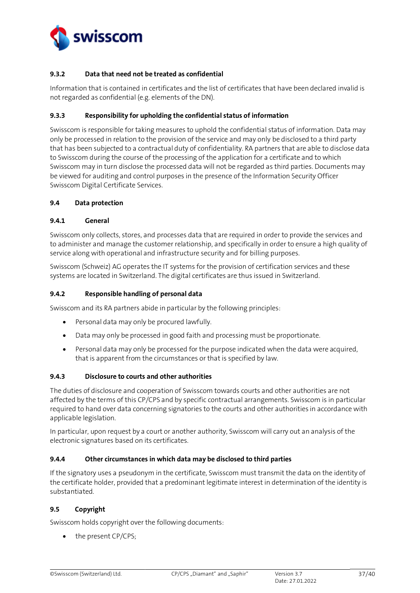

## <span id="page-36-0"></span>**9.3.2 Data that need not be treated as confidential**

Information that is contained in certificates and the list of certificates that have been declared invalid is not regarded as confidential (e.g. elements of the DN).

#### <span id="page-36-1"></span>**9.3.3 Responsibility for upholding the confidential status of information**

Swisscom is responsible for taking measures to uphold the confidential status of information. Data may only be processed in relation to the provision of the service and may only be disclosed to a third party that has been subjected to a contractual duty of confidentiality. RA partners that are able to disclose data to Swisscom during the course of the processing of the application for a certificate and to which Swisscom may in turn disclose the processed data will not be regarded as third parties. Documents may be viewed for auditing and control purposes in the presence of the Information Security Officer Swisscom Digital Certificate Services.

## <span id="page-36-2"></span>**9.4 Data protection**

#### <span id="page-36-3"></span>**9.4.1 General**

Swisscom only collects, stores, and processes data that are required in order to provide the services and to administer and manage the customer relationship, and specifically in order to ensure a high quality of service along with operational and infrastructure security and for billing purposes.

Swisscom (Schweiz) AG operates the IT systems for the provision of certification services and these systems are located in Switzerland. The digital certificates are thus issued in Switzerland.

## <span id="page-36-4"></span>**9.4.2 Responsible handling of personal data**

Swisscom and its RA partners abide in particular by the following principles:

- Personal data may only be procured lawfully.
- Data may only be processed in good faith and processing must be proportionate.
- Personal data may only be processed for the purpose indicated when the data were acquired, that is apparent from the circumstances or that is specified by law.

#### <span id="page-36-5"></span>**9.4.3 Disclosure to courts and other authorities**

The duties of disclosure and cooperation of Swisscom towards courts and other authorities are not affected by the terms of this CP/CPS and by specific contractual arrangements. Swisscom is in particular required to hand over data concerning signatories to the courts and other authorities in accordance with applicable legislation.

In particular, upon request by a court or another authority, Swisscom will carry out an analysis of the electronic signatures based on its certificates.

## <span id="page-36-6"></span>**9.4.4 Other circumstances in which data may be disclosed to third parties**

If the signatory uses a pseudonym in the certificate, Swisscom must transmit the data on the identity of the certificate holder, provided that a predominant legitimate interest in determination of the identity is substantiated.

#### <span id="page-36-7"></span>**9.5 Copyright**

Swisscom holds copyright over the following documents:

the present CP/CPS;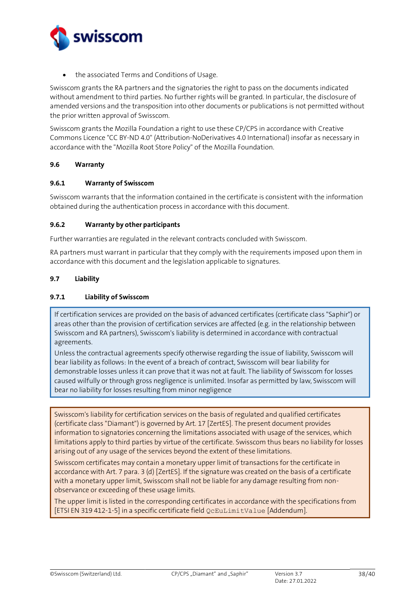

• the associated Terms and Conditions of Usage.

Swisscom grants the RA partners and the signatories the right to pass on the documents indicated without amendment to third parties. No further rights will be granted. In particular, the disclosure of amended versions and the transposition into other documents or publications is not permitted without the prior written approval of Swisscom.

Swisscom grants the Mozilla Foundation a right to use these CP/CPS in accordance with Creative Commons Licence "CC BY-ND 4.0" (Attribution-NoDerivatives 4.0 International) insofar as necessary in accordance with the "Mozilla Root Store Policy" of the Mozilla Foundation.

#### <span id="page-37-0"></span>**9.6 Warranty**

#### <span id="page-37-1"></span>**9.6.1 Warranty of Swisscom**

Swisscom warrants that the information contained in the certificate is consistent with the information obtained during the authentication process in accordance with this document.

#### <span id="page-37-2"></span>**9.6.2 Warranty by other participants**

Further warranties are regulated in the relevant contracts concluded with Swisscom.

RA partners must warrant in particular that they comply with the requirements imposed upon them in accordance with this document and the legislation applicable to signatures.

#### <span id="page-37-3"></span>**9.7 Liability**

## <span id="page-37-4"></span>**9.7.1 Liability of Swisscom**

If certification services are provided on the basis of advanced certificates (certificate class "Saphir") or areas other than the provision of certification services are affected (e.g. in the relationship between Swisscom and RA partners), Swisscom's liability is determined in accordance with contractual agreements.

Unless the contractual agreements specify otherwise regarding the issue of liability, Swisscom will bear liability as follows: In the event of a breach of contract, Swisscom will bear liability for demonstrable losses unless it can prove that it was not at fault. The liability of Swisscom for losses caused wilfully or through gross negligence is unlimited. Insofar as permitted by law, Swisscom will bear no liability for losses resulting from minor negligence

Swisscom's liability for certification services on the basis of regulated and qualified certificates (certificate class "Diamant") is governed by Art. 1[7 \[ZertES\].](#page-2-0) The present document provides information to signatories concerning the limitations associated with usage of the services, which limitations apply to third parties by virtue of the certificate. Swisscom thus bears no liability for losses arising out of any usage of the services beyond the extent of these limitations.

Swisscom certificates may contain a monetary upper limit of transactions for the certificate in accordance with Art. 7 para. 3 (d) [\[ZertES\].](#page-2-0) If the signature was created on the basis of a certificate with a monetary upper limit, Swisscom shall not be liable for any damage resulting from nonobservance or exceeding of these usage limits.

The upper limit is listed in the corresponding certificates in accordance with the specifications from [\[ETSI EN 319 412-1-5\]](#page-2-14) in a specific certificate field QcEuLimitValue [\[Addendum\].](#page-2-7)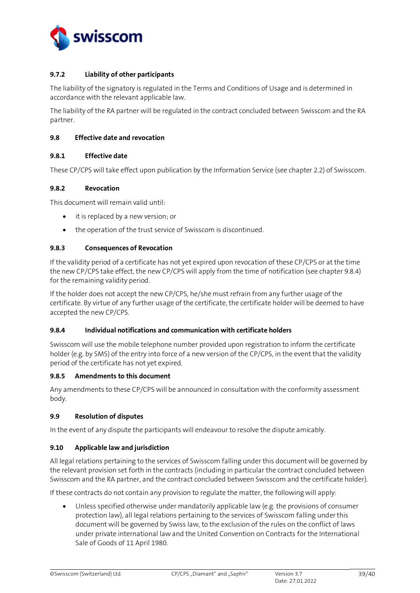

## <span id="page-38-0"></span>**9.7.2 Liability of other participants**

The liability of the signatory is regulated in the Terms and Conditions of Usage and is determined in accordance with the relevant applicable law.

The liability of the RA partner will be regulated in the contract concluded between Swisscom and the RA partner.

#### <span id="page-38-1"></span>**9.8 Effective date and revocation**

#### <span id="page-38-2"></span>**9.8.1 Effective date**

These CP/CPS will take effect upon publication by the Information Service (see chapter 2.2) of Swisscom.

#### <span id="page-38-3"></span>**9.8.2 Revocation**

This document will remain valid until:

- it is replaced by a new version; or
- the operation of the trust service of Swisscom is discontinued.

#### <span id="page-38-4"></span>**9.8.3 Consequences of Revocation**

If the validity period of a certificate has not yet expired upon revocation of these CP/CPS or at the time the new CP/CPS take effect, the new CP/CPS will apply from the time of notification (see chapter 9.8.4) for the remaining validity period.

If the holder does not accept the new CP/CPS, he/she must refrain from any further usage of the certificate. By virtue of any further usage of the certificate, the certificate holder will be deemed to have accepted the new CP/CPS.

#### <span id="page-38-5"></span>**9.8.4 Individual notifications and communication with certificate holders**

Swisscom will use the mobile telephone number provided upon registration to inform the certificate holder (e.g. by SMS) of the entry into force of a new version of the CP/CPS, in the event that the validity period of the certificate has not yet expired.

## **9.8.5 Amendments to this document**

Any amendments to these CP/CPS will be announced in consultation with the conformity assessment body.

#### <span id="page-38-6"></span>**9.9 Resolution of disputes**

In the event of any dispute the participants will endeavour to resolve the dispute amicably.

#### <span id="page-38-7"></span>**9.10 Applicable law and jurisdiction**

All legal relations pertaining to the services of Swisscom falling under this document will be governed by the relevant provision set forth in the contracts (including in particular the contract concluded between Swisscom and the RA partner, and the contract concluded between Swisscom and the certificate holder).

If these contracts do not contain any provision to regulate the matter, the following will apply:

• Unless specified otherwise under mandatorily applicable law (e.g. the provisions of consumer protection law), all legal relations pertaining to the services of Swisscom falling under this document will be governed by Swiss law, to the exclusion of the rules on the conflict of laws under private international law and the United Convention on Contracts for the International Sale of Goods of 11 April 1980.